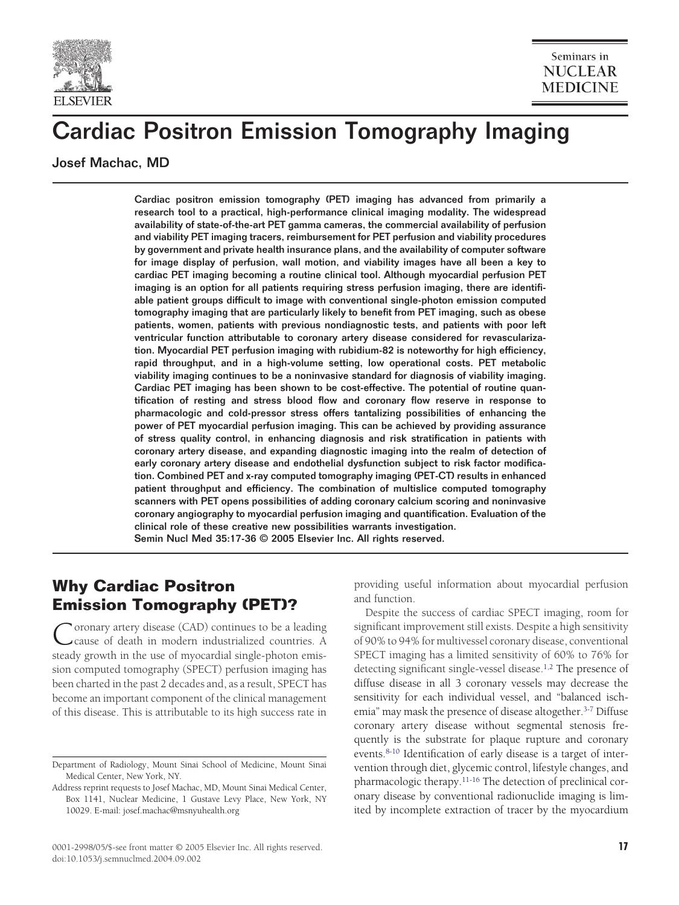

# Cardiac Positron Emission Tomography Imaging

Josef Machac, MD

Cardiac positron emission tomography (PET) imaging has advanced from primarily a research tool to a practical, high-performance clinical imaging modality. The widespread availability of state-of-the-art PET gamma cameras, the commercial availability of perfusion and viability PET imaging tracers, reimbursement for PET perfusion and viability procedures by government and private health insurance plans, and the availability of computer software for image display of perfusion, wall motion, and viability images have all been a key to cardiac PET imaging becoming a routine clinical tool. Although myocardial perfusion PET imaging is an option for all patients requiring stress perfusion imaging, there are identifiable patient groups difficult to image with conventional single-photon emission computed tomography imaging that are particularly likely to benefit from PET imaging, such as obese patients, women, patients with previous nondiagnostic tests, and patients with poor left ventricular function attributable to coronary artery disease considered for revascularization. Myocardial PET perfusion imaging with rubidium-82 is noteworthy for high efficiency, rapid throughput, and in a high-volume setting, low operational costs. PET metabolic viability imaging continues to be a noninvasive standard for diagnosis of viability imaging. Cardiac PET imaging has been shown to be cost-effective. The potential of routine quantification of resting and stress blood flow and coronary flow reserve in response to pharmacologic and cold-pressor stress offers tantalizing possibilities of enhancing the power of PET myocardial perfusion imaging. This can be achieved by providing assurance of stress quality control, in enhancing diagnosis and risk stratification in patients with coronary artery disease, and expanding diagnostic imaging into the realm of detection of early coronary artery disease and endothelial dysfunction subject to risk factor modification. Combined PET and x-ray computed tomography imaging (PET-CT) results in enhanced patient throughput and efficiency. The combination of multislice computed tomography scanners with PET opens possibilities of adding coronary calcium scoring and noninvasive coronary angiography to myocardial perfusion imaging and quantification. Evaluation of the clinical role of these creative new possibilities warrants investigation. Semin Nucl Med 35:17-36 © 2005 Elsevier Inc. All rights reserved.

# **Why Cardiac Positron Emission Tomography (PET)?**

Coronary artery disease (CAD) continues to be a leading cause of death in modern industrialized countries. A steady growth in the use of myocardial single-photon emission computed tomography (SPECT) perfusion imaging has been charted in the past 2 decades and, as a result, SPECT has become an important component of the clinical management of this disease. This is attributable to its high success rate in

providing useful information about myocardial perfusion and function.

Despite the success of cardiac SPECT imaging, room for significant improvement still exists. Despite a high sensitivity of 90% to 94% for multivessel coronary disease, conventional SPECT imaging has a limited sensitivity of 60% to 76% for detecting significant single-vessel disease[.1,2](#page-14-0) The presence of diffuse disease in all 3 coronary vessels may decrease the sensitivity for each individual vessel, and "balanced ischemia" may mask the presence of disease altogether.<sup>3-7</sup> Diffuse coronary artery disease without segmental stenosis frequently is the substrate for plaque rupture and coronary events.<sup>8-10</sup> Identification of early disease is a target of intervention through diet, glycemic control, lifestyle changes, and pharmacologic therapy[.11-16](#page-14-0) The detection of preclinical coronary disease by conventional radionuclide imaging is limited by incomplete extraction of tracer by the myocardium

Department of Radiology, Mount Sinai School of Medicine, Mount Sinai Medical Center, New York, NY.

Address reprint requests to Josef Machac, MD, Mount Sinai Medical Center, Box 1141, Nuclear Medicine, 1 Gustave Levy Place, New York, NY 10029. E-mail: josef.machac@msnyuhealth.org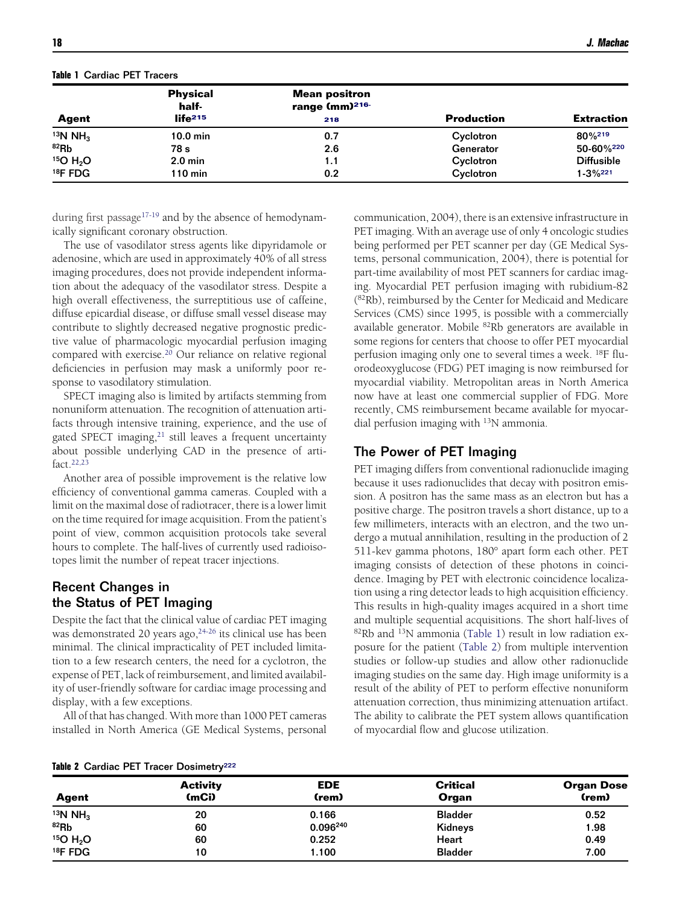<span id="page-1-0"></span>

|  | Table 1 Cardiac PET Tracers |  |  |
|--|-----------------------------|--|--|

|                      | <b>Physical</b><br>half-       | <b>Mean positron</b><br>range (mm) <sup>216-</sup> |                   |                   |
|----------------------|--------------------------------|----------------------------------------------------|-------------------|-------------------|
| Agent                | $\mathsf{life}^{\mathsf{215}}$ | 218                                                | <b>Production</b> | <b>Extraction</b> |
| 13N NH <sub>3</sub>  | $10.0$ min                     | 0.7                                                | Cyclotron         | 80%219            |
| $82$ Rb              | 78 s                           | 2.6                                                | Generator         | 50-60%220         |
| 15O H <sub>2</sub> O | $2.0$ min                      | 1.1                                                | Cyclotron         | <b>Diffusible</b> |
| <sup>18</sup> F FDG  | $110$ min                      | 0.2                                                | Cyclotron         | $1 - 3\%^{221}$   |

during first passage<sup>17-19</sup> and by the absence of hemodynamically significant coronary obstruction.

The use of vasodilator stress agents like dipyridamole or adenosine, which are used in approximately 40% of all stress imaging procedures, does not provide independent information about the adequacy of the vasodilator stress. Despite a high overall effectiveness, the surreptitious use of caffeine, diffuse epicardial disease, or diffuse small vessel disease may contribute to slightly decreased negative prognostic predictive value of pharmacologic myocardial perfusion imaging compared with exercise[.20](#page-14-0) Our reliance on relative regional deficiencies in perfusion may mask a uniformly poor response to vasodilatory stimulation.

SPECT imaging also is limited by artifacts stemming from nonuniform attenuation. The recognition of attenuation artifacts through intensive training, experience, and the use of gated SPECT imaging, $21$  still leaves a frequent uncertainty about possible underlying CAD in the presence of artifact[.22,23](#page-14-0)

Another area of possible improvement is the relative low efficiency of conventional gamma cameras. Coupled with a limit on the maximal dose of radiotracer, there is a lower limit on the time required for image acquisition. From the patient's point of view, common acquisition protocols take several hours to complete. The half-lives of currently used radioisotopes limit the number of repeat tracer injections.

# Recent Changes in the Status of PET Imaging

Despite the fact that the clinical value of cardiac PET imaging was demonstrated 20 years ago,<sup>24-26</sup> its clinical use has been minimal. The clinical impracticality of PET included limitation to a few research centers, the need for a cyclotron, the expense of PET, lack of reimbursement, and limited availability of user-friendly software for cardiac image processing and display, with a few exceptions.

All of that has changed. With more than 1000 PET cameras installed in North America (GE Medical Systems, personal communication, 2004), there is an extensive infrastructure in PET imaging. With an average use of only 4 oncologic studies being performed per PET scanner per day (GE Medical Systems, personal communication, 2004), there is potential for part-time availability of most PET scanners for cardiac imaging. Myocardial PET perfusion imaging with rubidium-82 (82Rb), reimbursed by the Center for Medicaid and Medicare Services (CMS) since 1995, is possible with a commercially available generator. Mobile 82Rb generators are available in some regions for centers that choose to offer PET myocardial perfusion imaging only one to several times a week. 18F fluorodeoxyglucose (FDG) PET imaging is now reimbursed for myocardial viability. Metropolitan areas in North America now have at least one commercial supplier of FDG. More recently, CMS reimbursement became available for myocardial perfusion imaging with 13N ammonia.

### The Power of PET Imaging

PET imaging differs from conventional radionuclide imaging because it uses radionuclides that decay with positron emission. A positron has the same mass as an electron but has a positive charge. The positron travels a short distance, up to a few millimeters, interacts with an electron, and the two undergo a mutual annihilation, resulting in the production of 2 511-kev gamma photons, 180° apart form each other. PET imaging consists of detection of these photons in coincidence. Imaging by PET with electronic coincidence localization using a ring detector leads to high acquisition efficiency. This results in high-quality images acquired in a short time and multiple sequential acquisitions. The short half-lives of 82Rb and 13N ammonia (Table 1) result in low radiation exposure for the patient (Table 2) from multiple intervention studies or follow-up studies and allow other radionuclide imaging studies on the same day. High image uniformity is a result of the ability of PET to perform effective nonuniform attenuation correction, thus minimizing attenuation artifact. The ability to calibrate the PET system allows quantification of myocardial flow and glucose utilization.

|  |  |  |  | Table 2 Cardiac PET Tracer Dosimetry <sup>222</sup> |
|--|--|--|--|-----------------------------------------------------|
|--|--|--|--|-----------------------------------------------------|

| Agent                | <b>Activity</b><br>(mCi) | <b>EDE</b><br>(rem) | <b>Critical</b><br>Organ | <b>Organ Dose</b><br>(rem) |
|----------------------|--------------------------|---------------------|--------------------------|----------------------------|
| 13N NH <sub>3</sub>  | 20                       | 0.166               | <b>Bladder</b>           | 0.52                       |
| 82Rb                 | 60                       | 0.096240            | Kidneys                  | 1.98                       |
| 15O H <sub>2</sub> O | 60                       | 0.252               | <b>Heart</b>             | 0.49                       |
| $18$ F FDG           | 10                       | 1.100               | <b>Bladder</b>           | 7.00                       |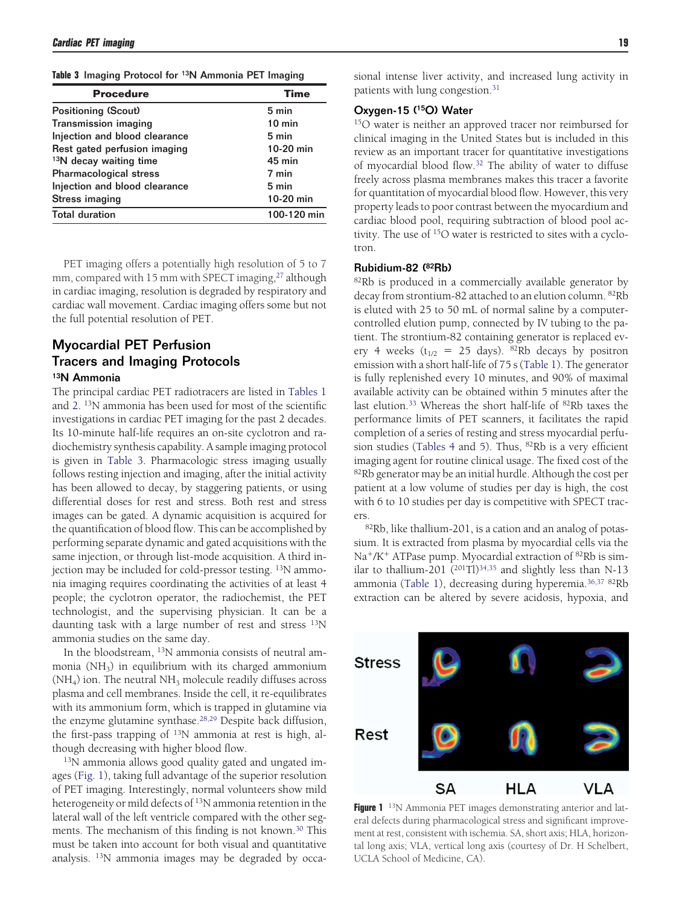**Table 3** Imaging Protocol for 13N Ammonia PET Imaging

| <b>Procedure</b>                   | <b>Time</b>      |
|------------------------------------|------------------|
| <b>Positioning (Scout)</b>         | 5 min            |
| <b>Transmission imaging</b>        | $10 \text{ min}$ |
| Injection and blood clearance      | 5 min            |
| Rest gated perfusion imaging       | 10-20 min        |
| <sup>13</sup> N decay waiting time | 45 min           |
| <b>Pharmacological stress</b>      | 7 min            |
| Injection and blood clearance      | 5 min            |
| Stress imaging                     | 10-20 min        |
| <b>Total duration</b>              | 100-120 min      |

PET imaging offers a potentially high resolution of 5 to 7 mm, compared with 15 mm with SPECT imaging,<sup>27</sup> although in cardiac imaging, resolution is degraded by respiratory and cardiac wall movement. Cardiac imaging offers some but not the full potential resolution of PET.

### Myocardial PET Perfusion Tracers and Imaging Protocols 13N Ammonia

The principal cardiac PET radiotracers are listed in [Tables 1](#page-1-0) and [2.](#page-1-0) 13N ammonia has been used for most of the scientific investigations in cardiac PET imaging for the past 2 decades. Its 10-minute half-life requires an on-site cyclotron and radiochemistry synthesis capability. A sample imaging protocol is given in Table 3. Pharmacologic stress imaging usually follows resting injection and imaging, after the initial activity has been allowed to decay, by staggering patients, or using differential doses for rest and stress. Both rest and stress images can be gated. A dynamic acquisition is acquired for the quantification of blood flow. This can be accomplished by performing separate dynamic and gated acquisitions with the same injection, or through list-mode acquisition. A third injection may be included for cold-pressor testing. 13N ammonia imaging requires coordinating the activities of at least 4 people; the cyclotron operator, the radiochemist, the PET technologist, and the supervising physician. It can be a daunting task with a large number of rest and stress  $^{13}N$ ammonia studies on the same day.

In the bloodstream, 13N ammonia consists of neutral ammonia  $(NH<sub>3</sub>)$  in equilibrium with its charged ammonium  $(NH<sub>4</sub>)$  ion. The neutral  $NH<sub>3</sub>$  molecule readily diffuses across plasma and cell membranes. Inside the cell, it re-equilibrates with its ammonium form, which is trapped in glutamine via the enzyme glutamine synthase.<sup>28,29</sup> Despite back diffusion, the first-pass trapping of 13N ammonia at rest is high, although decreasing with higher blood flow.

13N ammonia allows good quality gated and ungated images (Fig. 1), taking full advantage of the superior resolution of PET imaging. Interestingly, normal volunteers show mild heterogeneity or mild defects of <sup>13</sup>N ammonia retention in the lateral wall of the left ventricle compared with the other segments. The mechanism of this finding is not known.<sup>30</sup> This must be taken into account for both visual and quantitative analysis. <sup>13</sup>N ammonia images may be degraded by occasional intense liver activity, and increased lung activity in patients with lung congestion[.31](#page-14-0)

#### Oxygen-15 (15O) Water

15O water is neither an approved tracer nor reimbursed for clinical imaging in the United States but is included in this review as an important tracer for quantitative investigations of myocardial blood flow[.32](#page-14-0) The ability of water to diffuse freely across plasma membranes makes this tracer a favorite for quantitation of myocardial blood flow. However, this very property leads to poor contrast between the myocardium and cardiac blood pool, requiring subtraction of blood pool activity. The use of 15O water is restricted to sites with a cyclotron.

#### Rubidium-82 (82Rb)

82Rb is produced in a commercially available generator by decay from strontium-82 attached to an elution column. 82Rb is eluted with 25 to 50 mL of normal saline by a computercontrolled elution pump, connected by IV tubing to the patient. The strontium-82 containing generator is replaced every 4 weeks ( $t_{1/2}$  = 25 days). <sup>82</sup>Rb decays by positron emission with a short half-life of 75 s [\(Table 1\)](#page-1-0). The generator is fully replenished every 10 minutes, and 90% of maximal available activity can be obtained within 5 minutes after the last elution.<sup>33</sup> Whereas the short half-life of <sup>82</sup>Rb taxes the performance limits of PET scanners, it facilitates the rapid completion of a series of resting and stress myocardial perfusion studies [\(Tables 4](#page-3-0) and [5\)](#page-3-0). Thus, 82Rb is a very efficient imaging agent for routine clinical usage. The fixed cost of the <sup>82</sup>Rb generator may be an initial hurdle. Although the cost per patient at a low volume of studies per day is high, the cost with 6 to 10 studies per day is competitive with SPECT trac-

ers.<br><sup>82</sup>Rb, like thallium-201, is a cation and an analog of potassium. It is extracted from plasma by myocardial cells via the Na<sup>+</sup>/K<sup>+</sup> ATPase pump. Myocardial extraction of <sup>82</sup>Rb is similar to thallium-201  $(201)$ <sup>34,35</sup> and slightly less than N-13 ammonia [\(Table 1\)](#page-1-0), decreasing during hyperemia[.36,37](#page-15-0) 82Rb extraction can be altered by severe acidosis, hypoxia, and



**Figure 1** <sup>13</sup>N Ammonia PET images demonstrating anterior and lateral defects during pharmacological stress and significant improvement at rest, consistent with ischemia. SA, short axis; HLA, horizontal long axis; VLA, vertical long axis (courtesy of Dr. H Schelbert, UCLA School of Medicine, CA).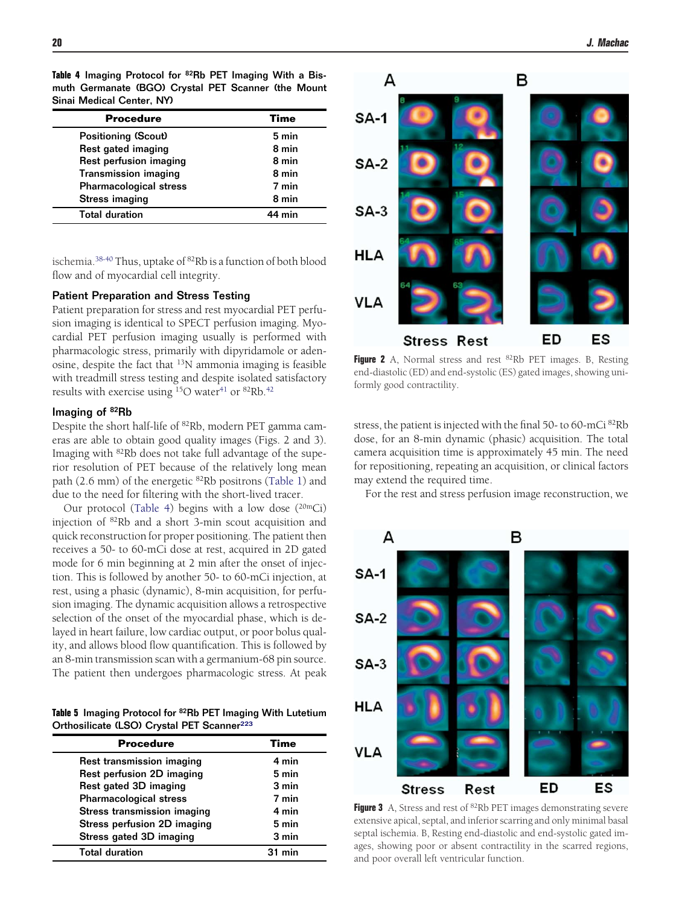<span id="page-3-0"></span>**Table 4** Imaging Protocol for 82Rb PET Imaging With a Bismuth Germanate (BGO) Crystal PET Scanner (the Mount Sinai Medical Center, NY)

| <b>Procedure</b>              | Time   |
|-------------------------------|--------|
| <b>Positioning (Scout)</b>    | 5 min  |
| Rest gated imaging            | 8 min  |
| Rest perfusion imaging        | 8 min  |
| <b>Transmission imaging</b>   | 8 min  |
| <b>Pharmacological stress</b> | 7 min  |
| <b>Stress imaging</b>         | 8 min  |
| <b>Total duration</b>         | 44 min |

ischemia.<sup>38-40</sup> Thus, uptake of <sup>82</sup>Rb is a function of both blood flow and of myocardial cell integrity.

#### Patient Preparation and Stress Testing

Patient preparation for stress and rest myocardial PET perfusion imaging is identical to SPECT perfusion imaging. Myocardial PET perfusion imaging usually is performed with pharmacologic stress, primarily with dipyridamole or adenosine, despite the fact that 13N ammonia imaging is feasible with treadmill stress testing and despite isolated satisfactory results with exercise using  $^{15}O$  water<sup>41</sup> or  $^{82}Rb$ .<sup>42</sup>

#### Imaging of 82Rb

Despite the short half-life of 82Rb, modern PET gamma cameras are able to obtain good quality images (Figs. 2 and 3). Imaging with 82Rb does not take full advantage of the superior resolution of PET because of the relatively long mean path (2.6 mm) of the energetic 82Rb positrons [\(Table 1\)](#page-1-0) and due to the need for filtering with the short-lived tracer.

Our protocol (Table 4) begins with a low dose  $(20mCi)$ injection of 82Rb and a short 3-min scout acquisition and quick reconstruction for proper positioning. The patient then receives a 50- to 60-mCi dose at rest, acquired in 2D gated mode for 6 min beginning at 2 min after the onset of injection. This is followed by another 50- to 60-mCi injection, at rest, using a phasic (dynamic), 8-min acquisition, for perfusion imaging. The dynamic acquisition allows a retrospective selection of the onset of the myocardial phase, which is delayed in heart failure, low cardiac output, or poor bolus quality, and allows blood flow quantification. This is followed by an 8-min transmission scan with a germanium-68 pin source. The patient then undergoes pharmacologic stress. At peak

**Table 5** Imaging Protocol for 82Rb PET Imaging With Lutetium Orthosilicate (LSO) Crystal PET Scanner<sup>223</sup>

| <b>Procedure</b>              | Time     |
|-------------------------------|----------|
| Rest transmission imaging     | 4 min    |
| Rest perfusion 2D imaging     | 5 min    |
| Rest gated 3D imaging         | 3 min    |
| <b>Pharmacological stress</b> | 7 min    |
| Stress transmission imaging   | 4 min    |
| Stress perfusion 2D imaging   | 5 min    |
| Stress gated 3D imaging       | 3 min    |
| <b>Total duration</b>         | $31$ min |



**Figure 2** A, Normal stress and rest <sup>82</sup>Rb PET images. B, Resting end-diastolic (ED) and end-systolic (ES) gated images, showing uniformly good contractility.

stress, the patient is injected with the final 50- to 60-mCi 82Rb dose, for an 8-min dynamic (phasic) acquisition. The total camera acquisition time is approximately 45 min. The need for repositioning, repeating an acquisition, or clinical factors may extend the required time.

For the rest and stress perfusion image reconstruction, we



**Figure 3** A, Stress and rest of <sup>82</sup>Rb PET images demonstrating severe extensive apical, septal, and inferior scarring and only minimal basal septal ischemia. B, Resting end-diastolic and end-systolic gated images, showing poor or absent contractility in the scarred regions, and poor overall left ventricular function.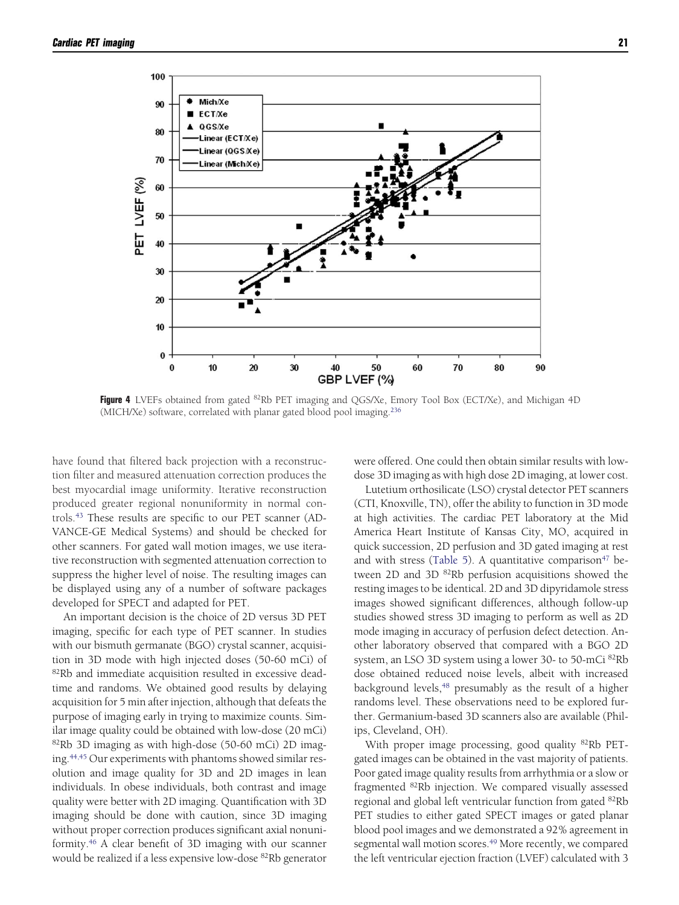<span id="page-4-0"></span>

**Figure 4** LVEFs obtained from gated 82Rb PET imaging and QGS/Xe, Emory Tool Box (ECT/Xe), and Michigan 4D (MICH/Xe) software, correlated with planar gated blood pool imaging[.236](#page-19-0)

have found that filtered back projection with a reconstruction filter and measured attenuation correction produces the best myocardial image uniformity. Iterative reconstruction produced greater regional nonuniformity in normal controls[.43](#page-15-0) These results are specific to our PET scanner (AD-VANCE-GE Medical Systems) and should be checked for other scanners. For gated wall motion images, we use iterative reconstruction with segmented attenuation correction to suppress the higher level of noise. The resulting images can be displayed using any of a number of software packages developed for SPECT and adapted for PET.

An important decision is the choice of 2D versus 3D PET imaging, specific for each type of PET scanner. In studies with our bismuth germanate (BGO) crystal scanner, acquisition in 3D mode with high injected doses (50-60 mCi) of 82Rb and immediate acquisition resulted in excessive deadtime and randoms. We obtained good results by delaying acquisition for 5 min after injection, although that defeats the purpose of imaging early in trying to maximize counts. Similar image quality could be obtained with low-dose (20 mCi)  $82Rb$  3D imaging as with high-dose (50-60 mCi) 2D imaging.<sup>44,45</sup> Our experiments with phantoms showed similar resolution and image quality for 3D and 2D images in lean individuals. In obese individuals, both contrast and image quality were better with 2D imaging. Quantification with 3D imaging should be done with caution, since 3D imaging without proper correction produces significant axial nonuniformity[.46](#page-15-0) A clear benefit of 3D imaging with our scanner would be realized if a less expensive low-dose <sup>82</sup>Rb generator

were offered. One could then obtain similar results with lowdose 3D imaging as with high dose 2D imaging, at lower cost.

Lutetium orthosilicate (LSO) crystal detector PET scanners (CTI, Knoxville, TN), offer the ability to function in 3D mode at high activities. The cardiac PET laboratory at the Mid America Heart Institute of Kansas City, MO, acquired in quick succession, 2D perfusion and 3D gated imaging at rest and with stress [\(Table 5\)](#page-3-0). A quantitative comparison<sup>47</sup> between 2D and 3D <sup>82</sup>Rb perfusion acquisitions showed the resting images to be identical. 2D and 3D dipyridamole stress images showed significant differences, although follow-up studies showed stress 3D imaging to perform as well as 2D mode imaging in accuracy of perfusion defect detection. Another laboratory observed that compared with a BGO 2D system, an LSO 3D system using a lower 30- to 50-mCi 82Rb dose obtained reduced noise levels, albeit with increased background levels,<sup>48</sup> presumably as the result of a higher randoms level. These observations need to be explored further. Germanium-based 3D scanners also are available (Philips, Cleveland, OH).

With proper image processing, good quality <sup>82</sup>Rb PETgated images can be obtained in the vast majority of patients. Poor gated image quality results from arrhythmia or a slow or fragmented 82Rb injection. We compared visually assessed regional and global left ventricular function from gated 82Rb PET studies to either gated SPECT images or gated planar blood pool images and we demonstrated a 92% agreement in segmental wall motion scores.<sup>49</sup> More recently, we compared the left ventricular ejection fraction (LVEF) calculated with 3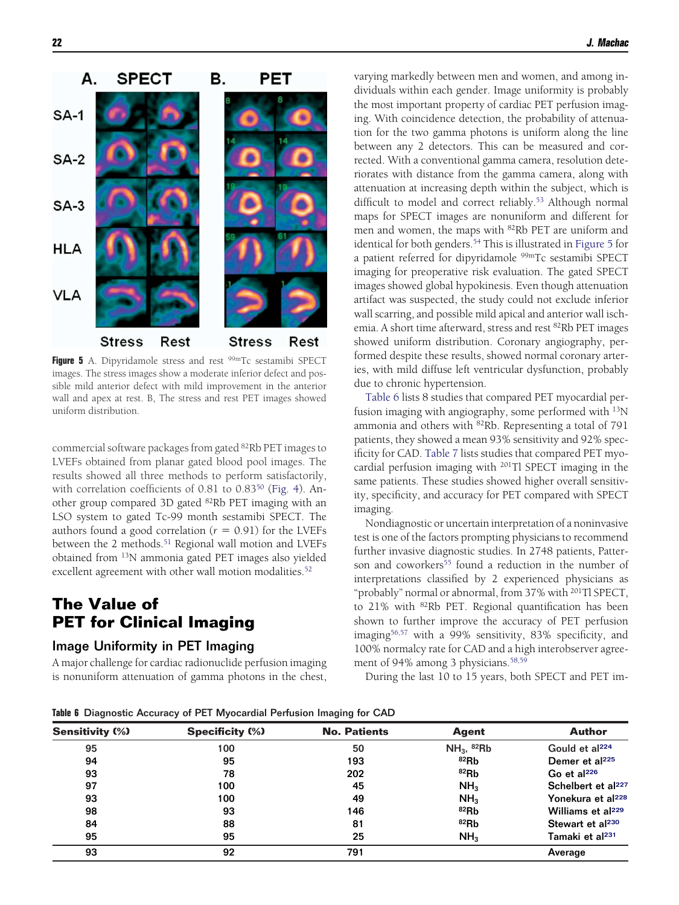

Figure 5 A. Dipyridamole stress and rest <sup>99m</sup>Tc sestamibi SPECT images. The stress images show a moderate inferior defect and possible mild anterior defect with mild improvement in the anterior wall and apex at rest. B, The stress and rest PET images showed uniform distribution.

commercial software packages from gated 82Rb PET images to LVEFs obtained from planar gated blood pool images. The results showed all three methods to perform satisfactorily, with correlation coefficients of 0.81 to 0.83<sup>50</sup> [\(Fig. 4\)](#page-4-0). Another group compared 3D gated 82Rb PET imaging with an LSO system to gated Tc-99 month sestamibi SPECT. The authors found a good correlation  $(r = 0.91)$  for the LVEFs between the 2 methods.<sup>51</sup> Regional wall motion and LVEFs obtained from 13N ammonia gated PET images also yielded excellent agreement with other wall motion modalities.<sup>52</sup>

## **The Value of PET for Clinical Imaging**

#### Image Uniformity in PET Imaging

A major challenge for cardiac radionuclide perfusion imaging is nonuniform attenuation of gamma photons in the chest, varying markedly between men and women, and among individuals within each gender. Image uniformity is probably the most important property of cardiac PET perfusion imaging. With coincidence detection, the probability of attenuation for the two gamma photons is uniform along the line between any 2 detectors. This can be measured and corrected. With a conventional gamma camera, resolution deteriorates with distance from the gamma camera, along with attenuation at increasing depth within the subject, which is difficult to model and correct reliably.<sup>53</sup> Although normal maps for SPECT images are nonuniform and different for men and women, the maps with 82Rb PET are uniform and identical for both genders.<sup>54</sup> This is illustrated in Figure 5 for a patient referred for dipyridamole 99mTc sestamibi SPECT imaging for preoperative risk evaluation. The gated SPECT images showed global hypokinesis. Even though attenuation artifact was suspected, the study could not exclude inferior wall scarring, and possible mild apical and anterior wall ischemia. A short time afterward, stress and rest 82Rb PET images showed uniform distribution. Coronary angiography, performed despite these results, showed normal coronary arteries, with mild diffuse left ventricular dysfunction, probably due to chronic hypertension.

Table 6 lists 8 studies that compared PET myocardial perfusion imaging with angiography, some performed with 13N ammonia and others with 82Rb. Representing a total of 791 patients, they showed a mean 93% sensitivity and 92% specificity for CAD. [Table 7](#page-6-0) lists studies that compared PET myocardial perfusion imaging with 201Tl SPECT imaging in the same patients. These studies showed higher overall sensitivity, specificity, and accuracy for PET compared with SPECT imaging.

Nondiagnostic or uncertain interpretation of a noninvasive test is one of the factors prompting physicians to recommend further invasive diagnostic studies. In 2748 patients, Patterson and coworkers<sup>55</sup> found a reduction in the number of interpretations classified by 2 experienced physicians as "probably" normal or abnormal, from 37% with 201Tl SPECT, to 21% with 82Rb PET. Regional quantification has been shown to further improve the accuracy of PET perfusion imagin[g56,57](#page-15-0) with a 99% sensitivity, 83% specificity, and 100% normalcy rate for CAD and a high interobserver agreement of 94% among 3 physicians.<sup>58,59</sup>

During the last 10 to 15 years, both SPECT and PET im-

**Table 6** Diagnostic Accuracy of PET Myocardial Perfusion Imaging for CAD

|                        |                        | ິ                   |                          |                                |
|------------------------|------------------------|---------------------|--------------------------|--------------------------------|
| <b>Sensitivity (%)</b> | <b>Specificity (%)</b> | <b>No. Patients</b> | Agent                    | <b>Author</b>                  |
| 95                     | 100                    | 50                  | $NH3$ , <sup>82</sup> Rb | Gould et al <sup>224</sup>     |
| 94                     | 95                     | 193                 | $82$ Rb                  | Demer et al <sup>225</sup>     |
| 93                     | 78                     | 202                 | $82$ Rb                  | Go et al $^{226}$              |
| 97                     | 100                    | 45                  | NH <sub>3</sub>          | Schelbert et al <sup>227</sup> |
| 93                     | 100                    | 49                  | NH <sub>3</sub>          | Yonekura et al <sup>228</sup>  |
| 98                     | 93                     | 146                 | $82$ Rb                  | Williams et al <sup>229</sup>  |
| 84                     | 88                     | 81                  | $82$ Rb                  | Stewart et al <sup>230</sup>   |
| 95                     | 95                     | 25                  | NH <sub>3</sub>          | Tamaki et al <sup>231</sup>    |
| 93                     | 92                     | 791                 |                          | Average                        |
|                        |                        |                     |                          |                                |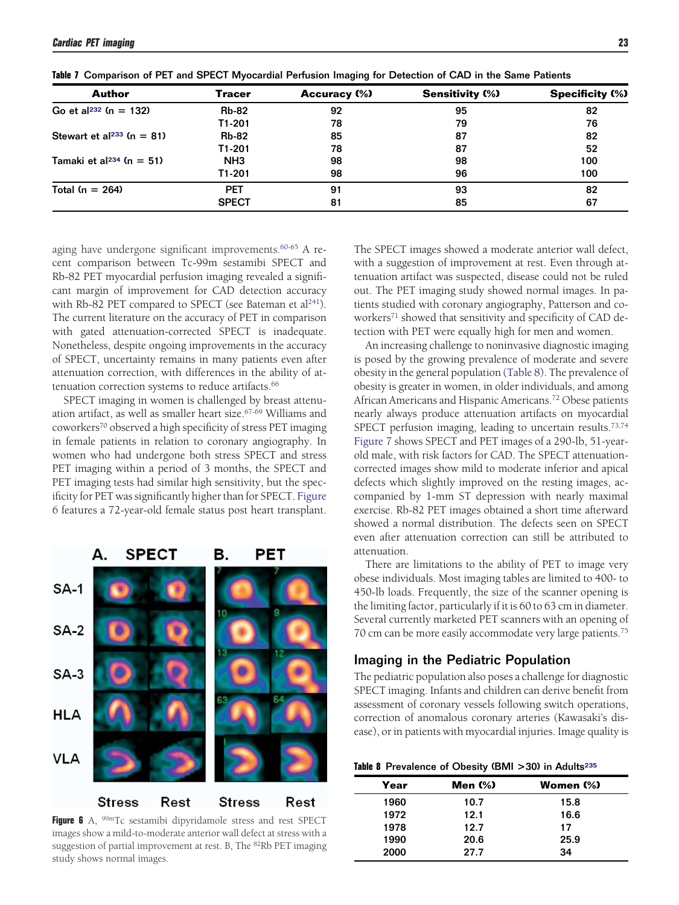| Author                                | Tracer          | <b>Accuracy (%)</b> | <b>Sensitivity (%)</b> | <b>Specificity (%)</b> |
|---------------------------------------|-----------------|---------------------|------------------------|------------------------|
| Go et al <sup>232</sup> (n = 132)     | <b>Rb-82</b>    | 92                  | 95                     | 82                     |
|                                       | T1-201          | 78                  | 79                     | 76                     |
| Stewart et al <sup>233</sup> (n = 81) | <b>Rb-82</b>    | 85                  | 87                     | 82                     |
|                                       | T1-201          | 78                  | 87                     | 52                     |
| Tamaki et al <sup>234</sup> (n = 51)  | NH <sub>3</sub> | 98                  | 98                     | 100                    |
|                                       | T1-201          | 98                  | 96                     | 100                    |
| Total $(n = 264)$                     | <b>PET</b>      | 91                  | 93                     | 82                     |
|                                       | <b>SPECT</b>    | 81                  | 85                     | 67                     |

<span id="page-6-0"></span>**Table 7** Comparison of PET and SPECT Myocardial Perfusion Imaging for Detection of CAD in the Same Patients

aging have undergone significant improvements.<sup>60-65</sup> A recent comparison between Tc-99m sestamibi SPECT and Rb-82 PET myocardial perfusion imaging revealed a significant margin of improvement for CAD detection accuracy with Rb-82 PET compared to SPECT (see Bateman et al<sup>241</sup>). The current literature on the accuracy of PET in comparison with gated attenuation-corrected SPECT is inadequate. Nonetheless, despite ongoing improvements in the accuracy of SPECT, uncertainty remains in many patients even after attenuation correction, with differences in the ability of attenuation correction systems to reduce artifacts.<sup>66</sup>

SPECT imaging in women is challenged by breast attenuation artifact, as well as smaller heart size.<sup>67-69</sup> Williams and coworkers<sup>70</sup> observed a high specificity of stress PET imaging in female patients in relation to coronary angiography. In women who had undergone both stress SPECT and stress PET imaging within a period of 3 months, the SPECT and PET imaging tests had similar high sensitivity, but the specificity for PET was significantly higher than for SPECT. Figure 6 features a 72-year-old female status post heart transplant.



**Figure 6** A, <sup>99m</sup>Tc sestamibi dipyridamole stress and rest SPECT images show a mild-to-moderate anterior wall defect at stress with a suggestion of partial improvement at rest. B, The  ${}^{82}$ Rb PET imaging study shows normal images.

The SPECT images showed a moderate anterior wall defect, with a suggestion of improvement at rest. Even through attenuation artifact was suspected, disease could not be ruled out. The PET imaging study showed normal images. In patients studied with coronary angiography, Patterson and coworkers<sup>71</sup> showed that sensitivity and specificity of CAD detection with PET were equally high for men and women.

An increasing challenge to noninvasive diagnostic imaging is posed by the growing prevalence of moderate and severe obesity in the general population (Table 8). The prevalence of obesity is greater in women, in older individuals, and among African Americans and Hispanic Americans[.72](#page-15-0) Obese patients nearly always produce attenuation artifacts on myocardial SPECT perfusion imaging, leading to uncertain results.<sup>73,74</sup> [Figure 7](#page-7-0) shows SPECT and PET images of a 290-lb, 51-yearold male, with risk factors for CAD. The SPECT attenuationcorrected images show mild to moderate inferior and apical defects which slightly improved on the resting images, accompanied by 1-mm ST depression with nearly maximal exercise. Rb-82 PET images obtained a short time afterward showed a normal distribution. The defects seen on SPECT even after attenuation correction can still be attributed to attenuation.

There are limitations to the ability of PET to image very obese individuals. Most imaging tables are limited to 400- to 450-lb loads. Frequently, the size of the scanner opening is the limiting factor, particularly if it is 60 to 63 cm in diameter. Several currently marketed PET scanners with an opening of 70 cm can be more easily accommodate very large patients[.75](#page-15-0)

#### Imaging in the Pediatric Population

The pediatric population also poses a challenge for diagnostic SPECT imaging. Infants and children can derive benefit from assessment of coronary vessels following switch operations, correction of anomalous coronary arteries (Kawasaki's disease), or in patients with myocardial injuries. Image quality is

#### Table 8 Prevalence of Obesity (BMI > 30) in Adults<sup>235</sup>

| Year | Men $(\%)$ | Women (%) |
|------|------------|-----------|
| 1960 | 10.7       | 15.8      |
| 1972 | 12.1       | 16.6      |
| 1978 | 12.7       | 17        |
| 1990 | 20.6       | 25.9      |
| 2000 | 27.7       | 34        |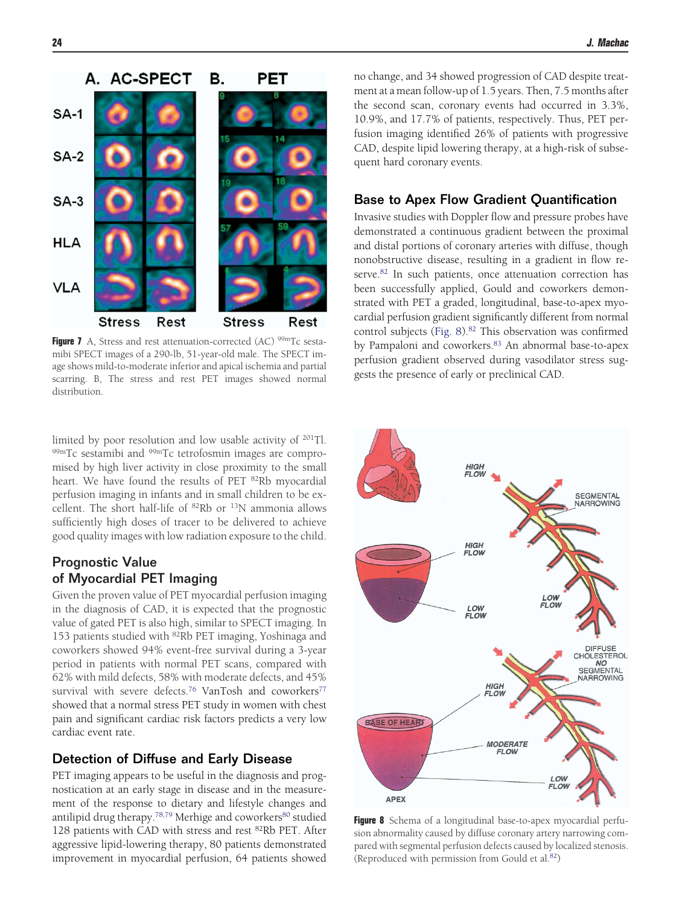<span id="page-7-0"></span>

**Figure 7** A, Stress and rest attenuation-corrected (AC) <sup>99m</sup>Tc sestamibi SPECT images of a 290-lb, 51-year-old male. The SPECT image shows mild-to-moderate inferior and apical ischemia and partial scarring. B, The stress and rest PET images showed normal distribution.

limited by poor resolution and low usable activity of 201Tl. 99mTc sestamibi and <sup>99m</sup>Tc tetrofosmin images are compromised by high liver activity in close proximity to the small heart. We have found the results of PET <sup>82</sup>Rb myocardial perfusion imaging in infants and in small children to be excellent. The short half-life of 82Rb or 13N ammonia allows sufficiently high doses of tracer to be delivered to achieve good quality images with low radiation exposure to the child.

### Prognostic Value of Myocardial PET Imaging

Given the proven value of PET myocardial perfusion imaging in the diagnosis of CAD, it is expected that the prognostic value of gated PET is also high, similar to SPECT imaging. In 153 patients studied with 82Rb PET imaging, Yoshinaga and coworkers showed 94% event-free survival during a 3-year period in patients with normal PET scans, compared with 62% with mild defects, 58% with moderate defects, and 45% survival with severe defects.<sup>76</sup> VanTosh and coworkers<sup>77</sup> showed that a normal stress PET study in women with chest pain and significant cardiac risk factors predicts a very low cardiac event rate.

### Detection of Diffuse and Early Disease

PET imaging appears to be useful in the diagnosis and prognostication at an early stage in disease and in the measurement of the response to dietary and lifestyle changes and antilipid drug therapy.<sup>78,79</sup> Merhige and coworkers<sup>80</sup> studied 128 patients with CAD with stress and rest 82Rb PET. After aggressive lipid-lowering therapy, 80 patients demonstrated improvement in myocardial perfusion, 64 patients showed

no change, and 34 showed progression of CAD despite treatment at a mean follow-up of 1.5 years. Then, 7.5 months after the second scan, coronary events had occurred in 3.3%, 10.9%, and 17.7% of patients, respectively. Thus, PET perfusion imaging identified 26% of patients with progressive CAD, despite lipid lowering therapy, at a high-risk of subsequent hard coronary events.

#### Base to Apex Flow Gradient Quantification

Invasive studies with Doppler flow and pressure probes have demonstrated a continuous gradient between the proximal and distal portions of coronary arteries with diffuse, though nonobstructive disease, resulting in a gradient in flow reserve.<sup>82</sup> In such patients, once attenuation correction has been successfully applied, Gould and coworkers demonstrated with PET a graded, longitudinal, base-to-apex myocardial perfusion gradient significantly different from normal control subjects (Fig. 8).<sup>82</sup> This observation was confirmed by Pampaloni and coworkers.<sup>83</sup> An abnormal base-to-apex perfusion gradient observed during vasodilator stress suggests the presence of early or preclinical CAD.



**Figure 8** Schema of a longitudinal base-to-apex myocardial perfusion abnormality caused by diffuse coronary artery narrowing compared with segmental perfusion defects caused by localized stenosis. (Reproduced with permission from Gould et al[.82\)](#page-19-0)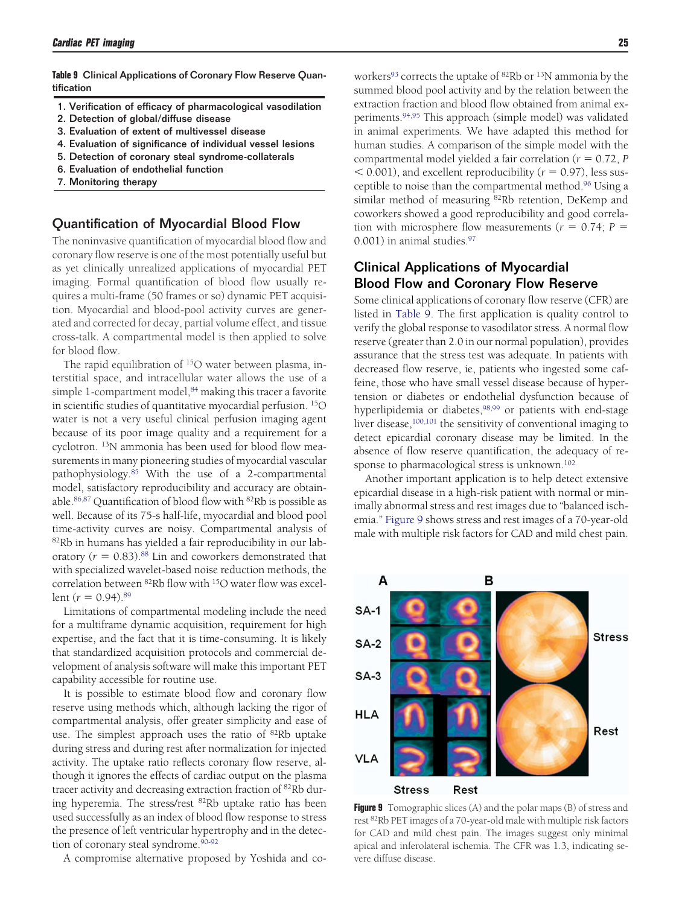<span id="page-8-0"></span>**Table 9** Clinical Applications of Coronary Flow Reserve Quantification

- 1. Verification of efficacy of pharmacological vasodilation
- 2. Detection of global/diffuse disease
- 3. Evaluation of extent of multivessel disease
- 4. Evaluation of significance of individual vessel lesions
- 5. Detection of coronary steal syndrome-collaterals
- 6. Evaluation of endothelial function
- 7. Monitoring therapy

#### Quantification of Myocardial Blood Flow

The noninvasive quantification of myocardial blood flow and coronary flow reserve is one of the most potentially useful but as yet clinically unrealized applications of myocardial PET imaging. Formal quantification of blood flow usually requires a multi-frame (50 frames or so) dynamic PET acquisition. Myocardial and blood-pool activity curves are generated and corrected for decay, partial volume effect, and tissue cross-talk. A compartmental model is then applied to solve for blood flow.

The rapid equilibration of <sup>15</sup>O water between plasma, interstitial space, and intracellular water allows the use of a simple 1-compartment model,<sup>84</sup> making this tracer a favorite in scientific studies of quantitative myocardial perfusion. 15O water is not a very useful clinical perfusion imaging agent because of its poor image quality and a requirement for a cyclotron. 13N ammonia has been used for blood flow measurements in many pioneering studies of myocardial vascular pathophysiology[.85](#page-16-0) With the use of a 2-compartmental model, satisfactory reproducibility and accuracy are obtainable.<sup>86,87</sup> Quantification of blood flow with  $82Rb$  is possible as well. Because of its 75-s half-life, myocardial and blood pool time-activity curves are noisy. Compartmental analysis of 82Rb in humans has yielded a fair reproducibility in our laboratory  $(r = 0.83)$ .<sup>88</sup> Lin and coworkers demonstrated that with specialized wavelet-based noise reduction methods, the correlation between 82Rb flow with 15O water flow was excellent  $(r = 0.94)$ .<sup>89</sup>

Limitations of compartmental modeling include the need for a multiframe dynamic acquisition, requirement for high expertise, and the fact that it is time-consuming. It is likely that standardized acquisition protocols and commercial development of analysis software will make this important PET capability accessible for routine use.

It is possible to estimate blood flow and coronary flow reserve using methods which, although lacking the rigor of compartmental analysis, offer greater simplicity and ease of use. The simplest approach uses the ratio of <sup>82</sup>Rb uptake during stress and during rest after normalization for injected activity. The uptake ratio reflects coronary flow reserve, although it ignores the effects of cardiac output on the plasma tracer activity and decreasing extraction fraction of <sup>82</sup>Rb during hyperemia. The stress/rest <sup>82</sup>Rb uptake ratio has been used successfully as an index of blood flow response to stress the presence of left ventricular hypertrophy and in the detection of coronary steal syndrome.<sup>90-92</sup>

A compromise alternative proposed by Yoshida and co-

workers<sup>93</sup> corrects the uptake of <sup>82</sup>Rb or <sup>13</sup>N ammonia by the summed blood pool activity and by the relation between the extraction fraction and blood flow obtained from animal experiments[.94,95](#page-16-0) This approach (simple model) was validated in animal experiments. We have adapted this method for human studies. A comparison of the simple model with the compartmental model yielded a fair correlation ( $r = 0.72$ , *P*  $0.001$ ), and excellent reproducibility ( $r = 0.97$ ), less susceptible to noise than the compartmental method[.96](#page-16-0) Using a similar method of measuring <sup>82</sup>Rb retention, DeKemp and coworkers showed a good reproducibility and good correlation with microsphere flow measurements ( $r = 0.74$ ;  $P =$ 0.001) in animal studies[.97](#page-16-0)

### Clinical Applications of Myocardial Blood Flow and Coronary Flow Reserve

Some clinical applications of coronary flow reserve (CFR) are listed in Table 9. The first application is quality control to verify the global response to vasodilator stress. A normal flow reserve (greater than 2.0 in our normal population), provides assurance that the stress test was adequate. In patients with decreased flow reserve, ie, patients who ingested some caffeine, those who have small vessel disease because of hypertension or diabetes or endothelial dysfunction because of hyperlipidemia or diabetes,<sup>98,99</sup> or patients with end-stage liver disease,<sup>100,101</sup> the sensitivity of conventional imaging to detect epicardial coronary disease may be limited. In the absence of flow reserve quantification, the adequacy of response to pharmacological stress is unknown.<sup>102</sup>

Another important application is to help detect extensive epicardial disease in a high-risk patient with normal or minimally abnormal stress and rest images due to "balanced ischemia." Figure 9 shows stress and rest images of a 70-year-old male with multiple risk factors for CAD and mild chest pain.



**Figure 9** Tomographic slices (A) and the polar maps (B) of stress and rest 82Rb PET images of a 70-year-old male with multiple risk factors for CAD and mild chest pain. The images suggest only minimal apical and inferolateral ischemia. The CFR was 1.3, indicating severe diffuse disease.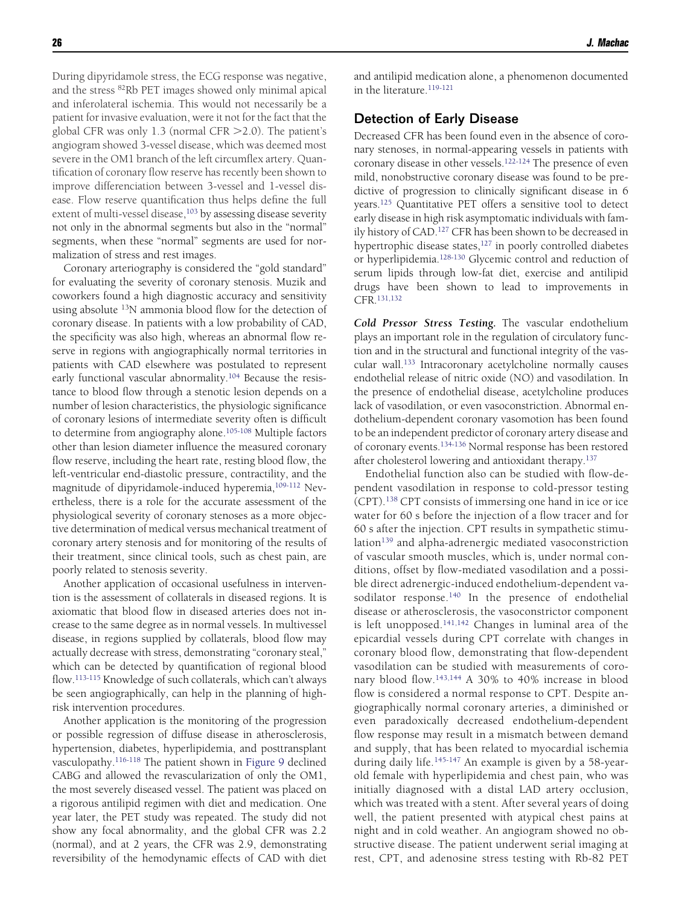During dipyridamole stress, the ECG response was negative, and the stress 82Rb PET images showed only minimal apical and inferolateral ischemia. This would not necessarily be a patient for invasive evaluation, were it not for the fact that the global CFR was only 1.3 (normal CFR 2.0). The patient's angiogram showed 3-vessel disease, which was deemed most severe in the OM1 branch of the left circumflex artery. Quantification of coronary flow reserve has recently been shown to improve differenciation between 3-vessel and 1-vessel disease. Flow reserve quantification thus helps define the full extent of multi-vessel disease,<sup>103</sup> by assessing disease severity not only in the abnormal segments but also in the "normal" segments, when these "normal" segments are used for normalization of stress and rest images.

Coronary arteriography is considered the "gold standard" for evaluating the severity of coronary stenosis. Muzik and coworkers found a high diagnostic accuracy and sensitivity using absolute <sup>13</sup>N ammonia blood flow for the detection of coronary disease. In patients with a low probability of CAD, the specificity was also high, whereas an abnormal flow reserve in regions with angiographically normal territories in patients with CAD elsewhere was postulated to represent early functional vascular abnormality.<sup>104</sup> Because the resistance to blood flow through a stenotic lesion depends on a number of lesion characteristics, the physiologic significance of coronary lesions of intermediate severity often is difficult to determine from angiography alone.<sup>105-108</sup> Multiple factors other than lesion diameter influence the measured coronary flow reserve, including the heart rate, resting blood flow, the left-ventricular end-diastolic pressure, contractility, and the magnitude of dipyridamole-induced hyperemia,<sup>109-112</sup> Nevertheless, there is a role for the accurate assessment of the physiological severity of coronary stenoses as a more objective determination of medical versus mechanical treatment of coronary artery stenosis and for monitoring of the results of their treatment, since clinical tools, such as chest pain, are poorly related to stenosis severity.

Another application of occasional usefulness in intervention is the assessment of collaterals in diseased regions. It is axiomatic that blood flow in diseased arteries does not increase to the same degree as in normal vessels. In multivessel disease, in regions supplied by collaterals, blood flow may actually decrease with stress, demonstrating "coronary steal," which can be detected by quantification of regional blood flow[.113-115](#page-16-0) Knowledge of such collaterals, which can't always be seen angiographically, can help in the planning of highrisk intervention procedures.

Another application is the monitoring of the progression or possible regression of diffuse disease in atherosclerosis, hypertension, diabetes, hyperlipidemia, and posttransplant vasculopathy[.116-118](#page-16-0) The patient shown in [Figure 9](#page-8-0) declined CABG and allowed the revascularization of only the OM1, the most severely diseased vessel. The patient was placed on a rigorous antilipid regimen with diet and medication. One year later, the PET study was repeated. The study did not show any focal abnormality, and the global CFR was 2.2 (normal), and at 2 years, the CFR was 2.9, demonstrating reversibility of the hemodynamic effects of CAD with diet and antilipid medication alone, a phenomenon documented in the literature.<sup>119-121</sup>

#### Detection of Early Disease

Decreased CFR has been found even in the absence of coronary stenoses, in normal-appearing vessels in patients with coronary disease in other vessels[.122-124](#page-16-0) The presence of even mild, nonobstructive coronary disease was found to be predictive of progression to clinically significant disease in 6 years[.125](#page-17-0) Quantitative PET offers a sensitive tool to detect early disease in high risk asymptomatic individuals with family history of CAD[.127](#page-17-0) CFR has been shown to be decreased in hypertrophic disease states,<sup>127</sup> in poorly controlled diabetes or hyperlipidemia[.128-130](#page-17-0) Glycemic control and reduction of serum lipids through low-fat diet, exercise and antilipid drugs have been shown to lead to improvements in CFR[.131,132](#page-17-0)

*Cold Pressor Stress Testing.* The vascular endothelium plays an important role in the regulation of circulatory function and in the structural and functional integrity of the vascular wall[.133](#page-17-0) Intracoronary acetylcholine normally causes endothelial release of nitric oxide (NO) and vasodilation. In the presence of endothelial disease, acetylcholine produces lack of vasodilation, or even vasoconstriction. Abnormal endothelium-dependent coronary vasomotion has been found to be an independent predictor of coronary artery disease and of coronary events[.134-136](#page-17-0) Normal response has been restored after cholesterol lowering and antioxidant therapy[.137](#page-17-0)

Endothelial function also can be studied with flow-dependent vasodilation in response to cold-pressor testing (CPT)[.138](#page-17-0) CPT consists of immersing one hand in ice or ice water for 60 s before the injection of a flow tracer and for 60 s after the injection. CPT results in sympathetic stimulation<sup>139</sup> and alpha-adrenergic mediated vasoconstriction of vascular smooth muscles, which is, under normal conditions, offset by flow-mediated vasodilation and a possible direct adrenergic-induced endothelium-dependent vasodilator response.<sup>140</sup> In the presence of endothelial disease or atherosclerosis, the vasoconstrictor component is left unopposed[.141,142](#page-17-0) Changes in luminal area of the epicardial vessels during CPT correlate with changes in coronary blood flow, demonstrating that flow-dependent vasodilation can be studied with measurements of coronary blood flow[.143,144](#page-17-0) A 30% to 40% increase in blood flow is considered a normal response to CPT. Despite angiographically normal coronary arteries, a diminished or even paradoxically decreased endothelium-dependent flow response may result in a mismatch between demand and supply, that has been related to myocardial ischemia during daily life.<sup>145-147</sup> An example is given by a 58-yearold female with hyperlipidemia and chest pain, who was initially diagnosed with a distal LAD artery occlusion, which was treated with a stent. After several years of doing well, the patient presented with atypical chest pains at night and in cold weather. An angiogram showed no obstructive disease. The patient underwent serial imaging at rest, CPT, and adenosine stress testing with Rb-82 PET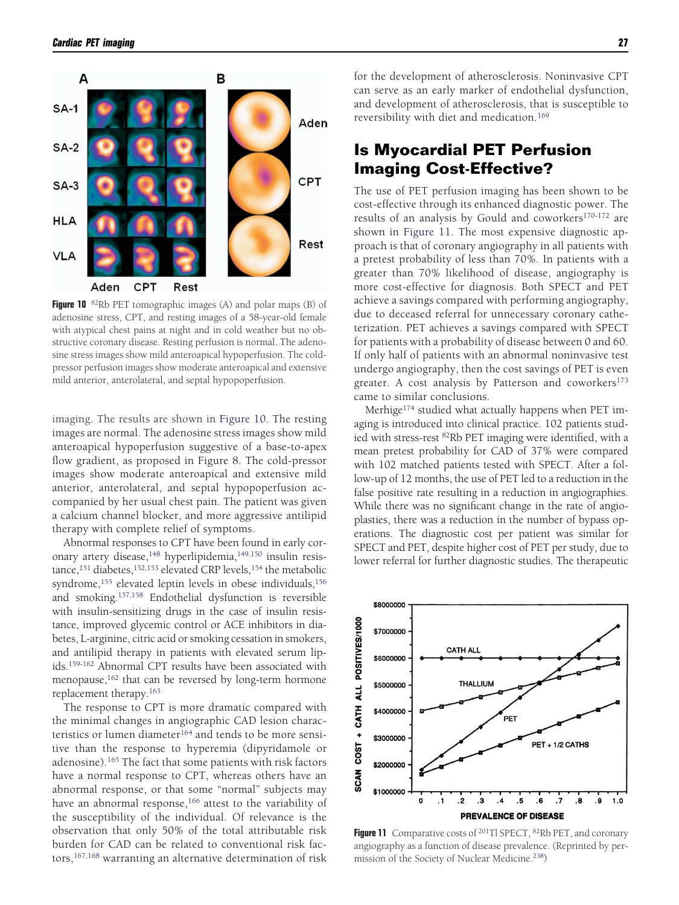

**Figure 10** <sup>82</sup>Rb PET tomographic images (A) and polar maps (B) of adenosine stress, CPT, and resting images of a 58-year-old female with atypical chest pains at night and in cold weather but no obstructive coronary disease. Resting perfusion is normal. The adenosine stress images show mild anteroapical hypoperfusion. The coldpressor perfusion images show moderate anteroapical and extensive mild anterior, anterolateral, and septal hypopoperfusion.

imaging. The results are shown in Figure 10. The resting images are normal. The adenosine stress images show mild anteroapical hypoperfusion suggestive of a base-to-apex flow gradient, as proposed in Figure 8. The cold-pressor images show moderate anteroapical and extensive mild anterior, anterolateral, and septal hypopoperfusion accompanied by her usual chest pain. The patient was given a calcium channel blocker, and more aggressive antilipid therapy with complete relief of symptoms.

Abnormal responses to CPT have been found in early coronary artery disease,<sup>148</sup> hyperlipidemia,<sup>149,150</sup> insulin resistance,<sup>151</sup> diabetes,<sup>152,153</sup> elevated CRP levels,<sup>154</sup> the metabolic syndrome,<sup>155</sup> elevated leptin levels in obese individuals,<sup>156</sup> and smoking[.157,158](#page-17-0) Endothelial dysfunction is reversible with insulin-sensitizing drugs in the case of insulin resistance, improved glycemic control or ACE inhibitors in diabetes, L-arginine, citric acid or smoking cessation in smokers, and antilipid therapy in patients with elevated serum lipids[.159-162](#page-17-0) Abnormal CPT results have been associated with menopause,<sup>162</sup> that can be reversed by long-term hormone replacement therapy[.163](#page-18-0)

The response to CPT is more dramatic compared with the minimal changes in angiographic CAD lesion characteristics or lumen diameter<sup>164</sup> and tends to be more sensitive than the response to hyperemia (dipyridamole or adenosine).<sup>165</sup> The fact that some patients with risk factors have a normal response to CPT, whereas others have an abnormal response, or that some "normal" subjects may have an abnormal response,<sup>166</sup> attest to the variability of the susceptibility of the individual. Of relevance is the observation that only 50% of the total attributable risk burden for CAD can be related to conventional risk factors,<sup>167,168</sup> warranting an alternative determination of risk for the development of atherosclerosis. Noninvasive CPT can serve as an early marker of endothelial dysfunction, and development of atherosclerosis, that is susceptible to reversibility with diet and medication[.169](#page-18-0)

# **Is Myocardial PET Perfusion Imaging Cost-Effective?**

The use of PET perfusion imaging has been shown to be cost-effective through its enhanced diagnostic power. The results of an analysis by Gould and coworkers<sup>170-172</sup> are shown in Figure 11. The most expensive diagnostic approach is that of coronary angiography in all patients with a pretest probability of less than 70%. In patients with a greater than 70% likelihood of disease, angiography is more cost-effective for diagnosis. Both SPECT and PET achieve a savings compared with performing angiography, due to deceased referral for unnecessary coronary catheterization. PET achieves a savings compared with SPECT for patients with a probability of disease between 0 and 60. If only half of patients with an abnormal noninvasive test undergo angiography, then the cost savings of PET is even greater. A cost analysis by Patterson and coworkers<sup>173</sup> came to similar conclusions.

Merhige<sup>174</sup> studied what actually happens when PET imaging is introduced into clinical practice. 102 patients studied with stress-rest 82Rb PET imaging were identified, with a mean pretest probability for CAD of 37% were compared with 102 matched patients tested with SPECT. After a follow-up of 12 months, the use of PET led to a reduction in the false positive rate resulting in a reduction in angiographies. While there was no significant change in the rate of angioplasties, there was a reduction in the number of bypass operations. The diagnostic cost per patient was similar for SPECT and PET, despite higher cost of PET per study, due to lower referral for further diagnostic studies. The therapeutic



**Figure 11** Comparative costs of <sup>201</sup>Tl SPECT, <sup>82</sup>Rb PET, and coronary angiography as a function of disease prevalence. (Reprinted by permission of the Society of Nuclear Medicine.<sup>238</sup>)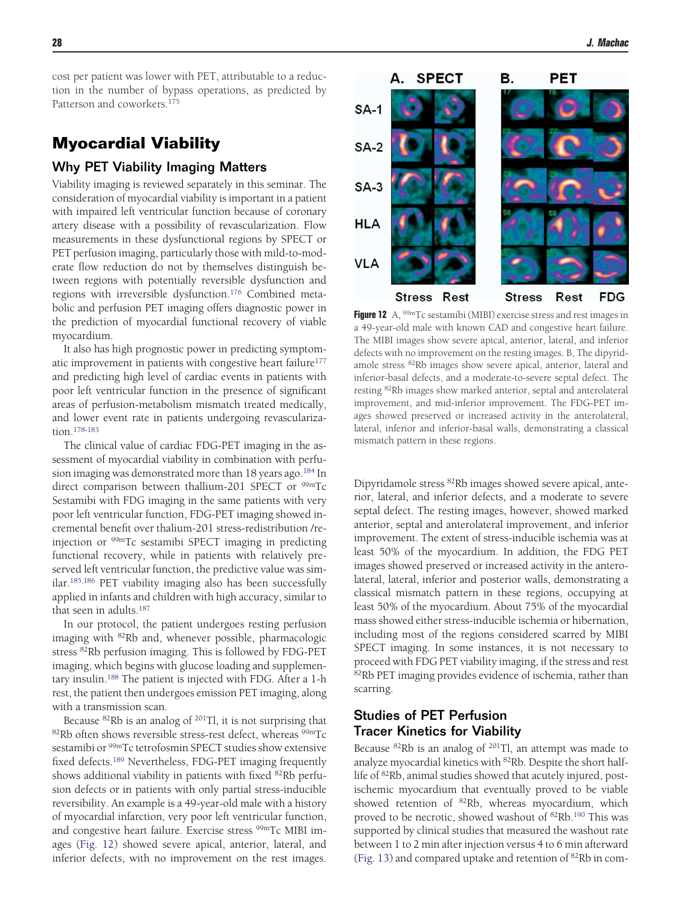cost per patient was lower with PET, attributable to a reduction in the number of bypass operations, as predicted by Patterson and coworkers[.175](#page-18-0)

# **Myocardial Viability**

#### Why PET Viability Imaging Matters

Viability imaging is reviewed separately in this seminar. The consideration of myocardial viability is important in a patient with impaired left ventricular function because of coronary artery disease with a possibility of revascularization. Flow measurements in these dysfunctional regions by SPECT or PET perfusion imaging, particularly those with mild-to-moderate flow reduction do not by themselves distinguish between regions with potentially reversible dysfunction and regions with irreversible dysfunction.<sup>176</sup> Combined metabolic and perfusion PET imaging offers diagnostic power in the prediction of myocardial functional recovery of viable myocardium.

It also has high prognostic power in predicting symptomatic improvement in patients with congestive heart failure<sup>177</sup> and predicting high level of cardiac events in patients with poor left ventricular function in the presence of significant areas of perfusion-metabolism mismatch treated medically, and lower event rate in patients undergoing revascularization[.178-183](#page-18-0)

The clinical value of cardiac FDG-PET imaging in the assessment of myocardial viability in combination with perfusion imaging was demonstrated more than  $18$  years ago.<sup>184</sup> In direct comparison between thallium-201 SPECT or <sup>99m</sup>Tc Sestamibi with FDG imaging in the same patients with very poor left ventricular function, FDG-PET imaging showed incremental benefit over thalium-201 stress-redistribution /reinjection or 99mTc sestamibi SPECT imaging in predicting functional recovery, while in patients with relatively preserved left ventricular function, the predictive value was similar[.185,186](#page-18-0) PET viability imaging also has been successfully applied in infants and children with high accuracy, similar to that seen in adults.<sup>187</sup>

In our protocol, the patient undergoes resting perfusion imaging with 82Rb and, whenever possible, pharmacologic stress <sup>82</sup>Rb perfusion imaging. This is followed by FDG-PET imaging, which begins with glucose loading and supplementary insulin.<sup>188</sup> The patient is injected with FDG. After a 1-h rest, the patient then undergoes emission PET imaging, along with a transmission scan.

Because  ${}^{82}$ Rb is an analog of  ${}^{201}$ Tl, it is not surprising that 82Rb often shows reversible stress-rest defect, whereas <sup>99m</sup>Tc sestamibi or <sup>99m</sup>Tc tetrofosmin SPECT studies show extensive fixed defects[.189](#page-18-0) Nevertheless, FDG-PET imaging frequently shows additional viability in patients with fixed <sup>82</sup>Rb perfusion defects or in patients with only partial stress-inducible reversibility. An example is a 49-year-old male with a history of myocardial infarction, very poor left ventricular function, and congestive heart failure. Exercise stress <sup>99m</sup>Tc MIBI images (Fig. 12) showed severe apical, anterior, lateral, and inferior defects, with no improvement on the rest images.



**Figure 12** A, <sup>99m</sup>Tc sestamibi (MIBI) exercise stress and rest images in a 49-year-old male with known CAD and congestive heart failure. The MIBI images show severe apical, anterior, lateral, and inferior defects with no improvement on the resting images. B, The dipyridamole stress 82Rb images show severe apical, anterior, lateral and inferior-basal defects, and a moderate-to-severe septal defect. The resting 82Rb images show marked anterior, septal and anterolateral improvement, and mid-inferior improvement. The FDG-PET images showed preserved or increased activity in the anterolateral, lateral, inferior and inferior-basal walls, demonstrating a classical mismatch pattern in these regions.

Dipyridamole stress 82Rb images showed severe apical, anterior, lateral, and inferior defects, and a moderate to severe septal defect. The resting images, however, showed marked anterior, septal and anterolateral improvement, and inferior improvement. The extent of stress-inducible ischemia was at least 50% of the myocardium. In addition, the FDG PET images showed preserved or increased activity in the anterolateral, lateral, inferior and posterior walls, demonstrating a classical mismatch pattern in these regions, occupying at least 50% of the myocardium. About 75% of the myocardial mass showed either stress-inducible ischemia or hibernation, including most of the regions considered scarred by MIBI SPECT imaging. In some instances, it is not necessary to proceed with FDG PET viability imaging, if the stress and rest 82Rb PET imaging provides evidence of ischemia, rather than scarring.

### Studies of PET Perfusion Tracer Kinetics for Viability

Because 82Rb is an analog of 201Tl, an attempt was made to analyze myocardial kinetics with 82Rb. Despite the short halflife of 82Rb, animal studies showed that acutely injured, postischemic myocardium that eventually proved to be viable showed retention of 82Rb, whereas myocardium, which proved to be necrotic, showed washout of 82Rb[.190](#page-18-0) This was supported by clinical studies that measured the washout rate between 1 to 2 min after injection versus 4 to 6 min afterward [\(Fig. 13\)](#page-12-0) and compared uptake and retention of 82Rb in com-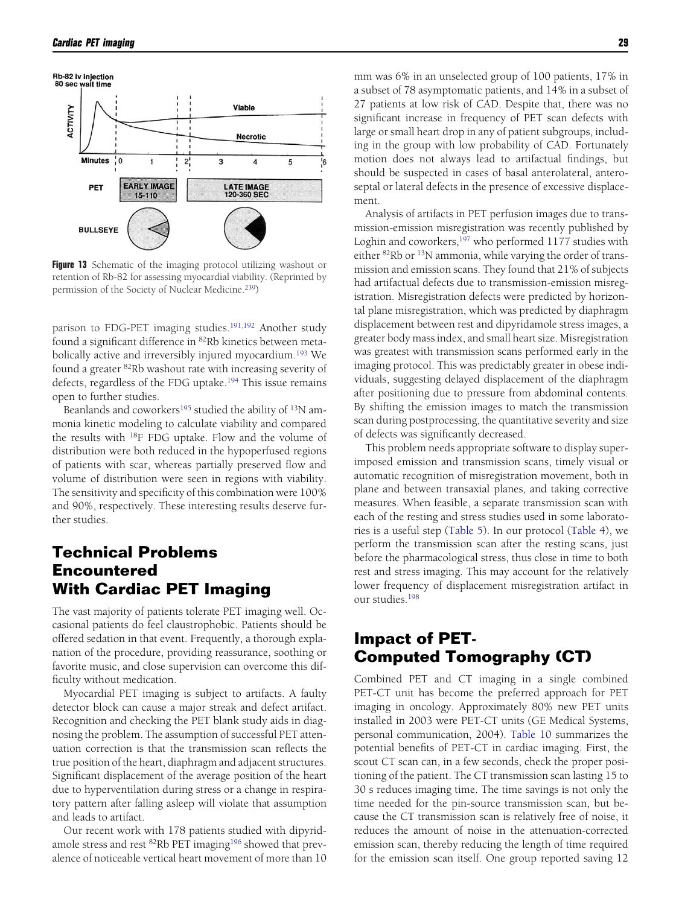<span id="page-12-0"></span>

**Figure 13** Schematic of the imaging protocol utilizing washout or retention of Rb-82 for assessing myocardial viability. (Reprinted by permission of the Society of Nuclear Medicine[.239\)](#page-19-0)

parison to FDG-PET imaging studies.<sup>191,192</sup> Another study found a significant difference in 82Rb kinetics between metabolically active and irreversibly injured myocardium.<sup>193</sup> We found a greater 82Rb washout rate with increasing severity of defects, regardless of the FDG uptake.<sup>194</sup> This issue remains open to further studies.

Beanlands and coworkers<sup>195</sup> studied the ability of  $13N$  ammonia kinetic modeling to calculate viability and compared the results with 18F FDG uptake. Flow and the volume of distribution were both reduced in the hypoperfused regions of patients with scar, whereas partially preserved flow and volume of distribution were seen in regions with viability. The sensitivity and specificity of this combination were 100% and 90%, respectively. These interesting results deserve further studies.

# **Technical Problems Encountered With Cardiac PET Imaging**

The vast majority of patients tolerate PET imaging well. Occasional patients do feel claustrophobic. Patients should be offered sedation in that event. Frequently, a thorough explanation of the procedure, providing reassurance, soothing or favorite music, and close supervision can overcome this difficulty without medication.

Myocardial PET imaging is subject to artifacts. A faulty detector block can cause a major streak and defect artifact. Recognition and checking the PET blank study aids in diagnosing the problem. The assumption of successful PET attenuation correction is that the transmission scan reflects the true position of the heart, diaphragm and adjacent structures. Significant displacement of the average position of the heart due to hyperventilation during stress or a change in respiratory pattern after falling asleep will violate that assumption and leads to artifact.

Our recent work with 178 patients studied with dipyridamole stress and rest <sup>82</sup>Rb PET imaging<sup>196</sup> showed that prevalence of noticeable vertical heart movement of more than 10 mm was 6% in an unselected group of 100 patients, 17% in a subset of 78 asymptomatic patients, and 14% in a subset of 27 patients at low risk of CAD. Despite that, there was no significant increase in frequency of PET scan defects with large or small heart drop in any of patient subgroups, including in the group with low probability of CAD. Fortunately motion does not always lead to artifactual findings, but should be suspected in cases of basal anterolateral, anteroseptal or lateral defects in the presence of excessive displacement.

Analysis of artifacts in PET perfusion images due to transmission-emission misregistration was recently published by Loghin and coworkers,<sup>197</sup> who performed 1177 studies with either 82Rb or 13N ammonia, while varying the order of transmission and emission scans. They found that 21% of subjects had artifactual defects due to transmission-emission misregistration. Misregistration defects were predicted by horizontal plane misregistration, which was predicted by diaphragm displacement between rest and dipyridamole stress images, a greater body mass index, and small heart size. Misregistration was greatest with transmission scans performed early in the imaging protocol. This was predictably greater in obese individuals, suggesting delayed displacement of the diaphragm after positioning due to pressure from abdominal contents. By shifting the emission images to match the transmission scan during postprocessing, the quantitative severity and size of defects was significantly decreased.

This problem needs appropriate software to display superimposed emission and transmission scans, timely visual or automatic recognition of misregistration movement, both in plane and between transaxial planes, and taking corrective measures. When feasible, a separate transmission scan with each of the resting and stress studies used in some laboratories is a useful step [\(Table 5\)](#page-3-0). In our protocol [\(Table 4\)](#page-3-0), we perform the transmission scan after the resting scans, just before the pharmacological stress, thus close in time to both rest and stress imaging. This may account for the relatively lower frequency of displacement misregistration artifact in our studies[.198](#page-18-0)

# **Impact of PET-Computed Tomography (CT)**

Combined PET and CT imaging in a single combined PET-CT unit has become the preferred approach for PET imaging in oncology. Approximately 80% new PET units installed in 2003 were PET-CT units (GE Medical Systems, personal communication, 2004). [Table 10](#page-13-0) summarizes the potential benefits of PET-CT in cardiac imaging. First, the scout CT scan can, in a few seconds, check the proper positioning of the patient. The CT transmission scan lasting 15 to 30 s reduces imaging time. The time savings is not only the time needed for the pin-source transmission scan, but because the CT transmission scan is relatively free of noise, it reduces the amount of noise in the attenuation-corrected emission scan, thereby reducing the length of time required for the emission scan itself. One group reported saving 12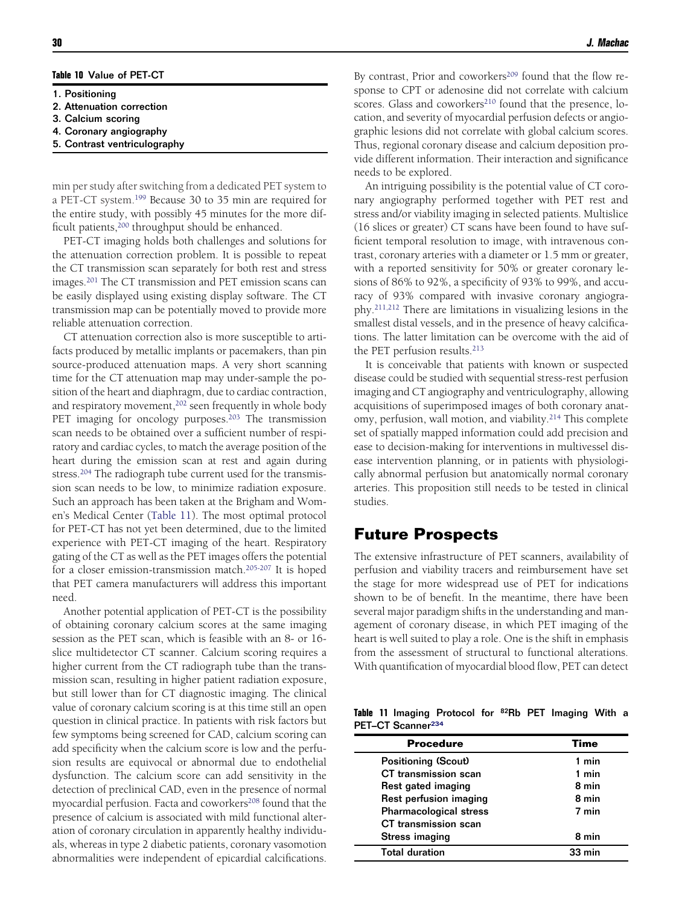#### <span id="page-13-0"></span>**Table 10** Value of PET-CT

- 1. Positioning
- 2. Attenuation correction
- 3. Calcium scoring
- 4. Coronary angiography
- 5. Contrast ventriculography

min per study after switching from a dedicated PET system to a PET-CT system.<sup>199</sup> Because 30 to 35 min are required for the entire study, with possibly 45 minutes for the more difficult patients,<sup>200</sup> throughput should be enhanced.

PET-CT imaging holds both challenges and solutions for the attenuation correction problem. It is possible to repeat the CT transmission scan separately for both rest and stress images[.201](#page-18-0) The CT transmission and PET emission scans can be easily displayed using existing display software. The CT transmission map can be potentially moved to provide more reliable attenuation correction.

CT attenuation correction also is more susceptible to artifacts produced by metallic implants or pacemakers, than pin source-produced attenuation maps. A very short scanning time for the CT attenuation map may under-sample the position of the heart and diaphragm, due to cardiac contraction, and respiratory movement,<sup>202</sup> seen frequently in whole body PET imaging for oncology purposes.<sup>203</sup> The transmission scan needs to be obtained over a sufficient number of respiratory and cardiac cycles, to match the average position of the heart during the emission scan at rest and again during stress.<sup>204</sup> The radiograph tube current used for the transmission scan needs to be low, to minimize radiation exposure. Such an approach has been taken at the Brigham and Women's Medical Center (Table 11). The most optimal protocol for PET-CT has not yet been determined, due to the limited experience with PET-CT imaging of the heart. Respiratory gating of the CT as well as the PET images offers the potential for a closer emission-transmission match.<sup>205-207</sup> It is hoped that PET camera manufacturers will address this important need.

Another potential application of PET-CT is the possibility of obtaining coronary calcium scores at the same imaging session as the PET scan, which is feasible with an 8- or 16 slice multidetector CT scanner. Calcium scoring requires a higher current from the CT radiograph tube than the transmission scan, resulting in higher patient radiation exposure, but still lower than for CT diagnostic imaging. The clinical value of coronary calcium scoring is at this time still an open question in clinical practice. In patients with risk factors but few symptoms being screened for CAD, calcium scoring can add specificity when the calcium score is low and the perfusion results are equivocal or abnormal due to endothelial dysfunction. The calcium score can add sensitivity in the detection of preclinical CAD, even in the presence of normal myocardial perfusion. Facta and coworkers<sup>208</sup> found that the presence of calcium is associated with mild functional alteration of coronary circulation in apparently healthy individuals, whereas in type 2 diabetic patients, coronary vasomotion abnormalities were independent of epicardial calcifications.

By contrast, Prior and coworkers<sup>209</sup> found that the flow response to CPT or adenosine did not correlate with calcium scores. Glass and coworkers<sup>210</sup> found that the presence, location, and severity of myocardial perfusion defects or angiographic lesions did not correlate with global calcium scores. Thus, regional coronary disease and calcium deposition provide different information. Their interaction and significance needs to be explored.

An intriguing possibility is the potential value of CT coronary angiography performed together with PET rest and stress and/or viability imaging in selected patients. Multislice (16 slices or greater) CT scans have been found to have sufficient temporal resolution to image, with intravenous contrast, coronary arteries with a diameter or 1.5 mm or greater, with a reported sensitivity for 50% or greater coronary lesions of 86% to 92%, a specificity of 93% to 99%, and accuracy of 93% compared with invasive coronary angiography[.211,212](#page-19-0) There are limitations in visualizing lesions in the smallest distal vessels, and in the presence of heavy calcifications. The latter limitation can be overcome with the aid of the PET perfusion results.<sup>213</sup>

It is conceivable that patients with known or suspected disease could be studied with sequential stress-rest perfusion imaging and CT angiography and ventriculography, allowing acquisitions of superimposed images of both coronary anatomy, perfusion, wall motion, and viability[.214](#page-19-0) This complete set of spatially mapped information could add precision and ease to decision-making for interventions in multivessel disease intervention planning, or in patients with physiologically abnormal perfusion but anatomically normal coronary arteries. This proposition still needs to be tested in clinical studies.

### **Future Prospects**

 $\overline{a}$ 

The extensive infrastructure of PET scanners, availability of perfusion and viability tracers and reimbursement have set the stage for more widespread use of PET for indications shown to be of benefit. In the meantime, there have been several major paradigm shifts in the understanding and management of coronary disease, in which PET imaging of the heart is well suited to play a role. One is the shift in emphasis from the assessment of structural to functional alterations. With quantification of myocardial blood flow, PET can detect

**Table 11** Imaging Protocol for 82Rb PET Imaging With a PET-CT Scanner<sup>234</sup>

| <b>Procedure</b>              | Time             |
|-------------------------------|------------------|
| <b>Positioning (Scout)</b>    | 1 min            |
| CT transmission scan          | 1 min            |
| Rest gated imaging            | 8 min            |
| Rest perfusion imaging        | 8 min            |
| <b>Pharmacological stress</b> | 7 min            |
| CT transmission scan          |                  |
| Stress imaging                | 8 min            |
| <b>Total duration</b>         | $33 \text{ min}$ |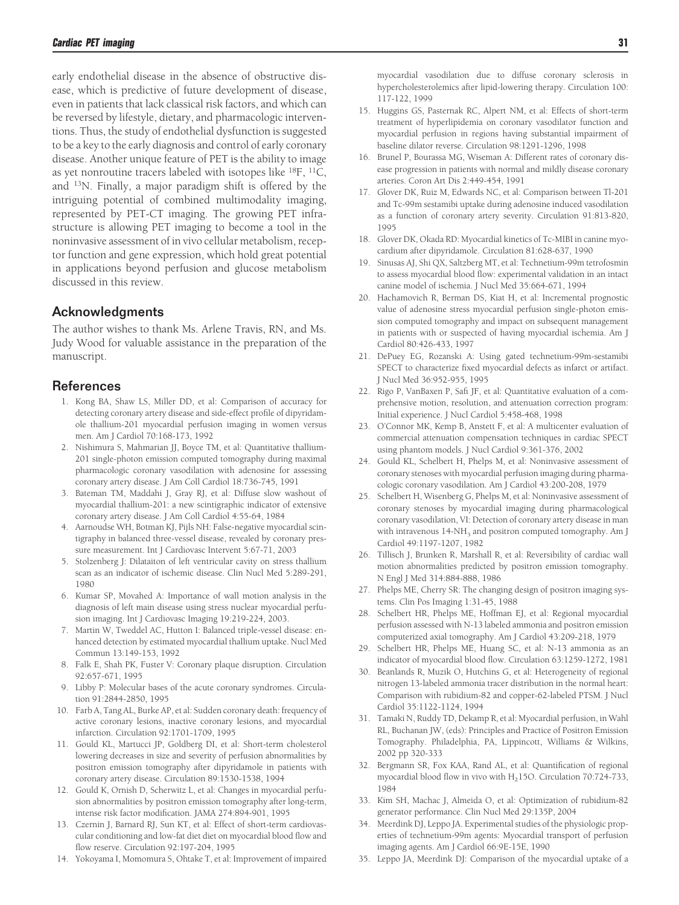<span id="page-14-0"></span>early endothelial disease in the absence of obstructive disease, which is predictive of future development of disease, even in patients that lack classical risk factors, and which can be reversed by lifestyle, dietary, and pharmacologic interventions. Thus, the study of endothelial dysfunction is suggested to be a key to the early diagnosis and control of early coronary disease. Another unique feature of PET is the ability to image as yet nonroutine tracers labeled with isotopes like  $^{18}F$ ,  $^{11}C$ , and 13N. Finally, a major paradigm shift is offered by the intriguing potential of combined multimodality imaging, represented by PET-CT imaging. The growing PET infrastructure is allowing PET imaging to become a tool in the noninvasive assessment of in vivo cellular metabolism, receptor function and gene expression, which hold great potential in applications beyond perfusion and glucose metabolism discussed in this review.

#### Acknowledgments

The author wishes to thank Ms. Arlene Travis, RN, and Ms. Judy Wood for valuable assistance in the preparation of the manuscript.

#### References

- 1. Kong BA, Shaw LS, Miller DD, et al: Comparison of accuracy for detecting coronary artery disease and side-effect profile of dipyridamole thallium-201 myocardial perfusion imaging in women versus men. Am J Cardiol 70:168-173, 1992
- 2. Nishimura S, Mahmarian JJ, Boyce TM, et al: Quantitative thallium-201 single-photon emission computed tomography during maximal pharmacologic coronary vasodilation with adenosine for assessing coronary artery disease. J Am Coll Cardiol 18:736-745, 1991
- 3. Bateman TM, Maddahi J, Gray RJ, et al: Diffuse slow washout of myocardial thallium-201: a new scintigraphic indicator of extensive coronary artery disease. J Am Coll Cardiol 4:55-64, 1984
- 4. Aarnoudse WH, Botman KJ, Pijls NH: False-negative myocardial scintigraphy in balanced three-vessel disease, revealed by coronary pressure measurement. Int J Cardiovasc Intervent 5:67-71, 2003
- 5. Stolzenberg J: Dilataiton of left ventricular cavity on stress thallium scan as an indicator of ischemic disease. Clin Nucl Med 5:289-291, 1980
- 6. Kumar SP, Movahed A: Importance of wall motion analysis in the diagnosis of left main disease using stress nuclear myocardial perfusion imaging. Int J Cardiovasc Imaging 19:219-224, 2003.
- 7. Martin W, Tweddel AC, Hutton I: Balanced triple-vessel disease: enhanced detection by estimated myocardial thallium uptake. Nucl Med Commun 13:149-153, 1992
- 8. Falk E, Shah PK, Fuster V: Coronary plaque disruption. Circulation 92:657-671, 1995
- 9. Libby P: Molecular bases of the acute coronary syndromes. Circulation 91:2844-2850, 1995
- 10. Farb A, Tang AL, Burke AP, et al: Sudden coronary death: frequency of active coronary lesions, inactive coronary lesions, and myocardial infarction. Circulation 92:1701-1709, 1995
- 11. Gould KL, Martucci JP, Goldberg DI, et al: Short-term cholesterol lowering decreases in size and severity of perfusion abnormalities by positron emission tomography after dipyridamole in patients with coronary artery disease. Circulation 89:1530-1538, 1994
- 12. Gould K, Ornish D, Scherwitz L, et al: Changes in myocardial perfusion abnormalities by positron emission tomography after long-term, intense risk factor modification. JAMA 274:894-901, 1995
- 13. Czernin J, Barnard RJ, Sun KT, et al: Effect of short-term cardiovascular conditioning and low-fat diet diet on myocardial blood flow and flow reserve. Circulation 92:197-204, 1995
- 14. Yokoyama I, Momomura S, Ohtake T, et al: Improvement of impaired

myocardial vasodilation due to diffuse coronary sclerosis in hypercholesterolemics after lipid-lowering therapy. Circulation 100: 117-122, 1999

- 15. Huggins GS, Pasternak RC, Alpert NM, et al: Effects of short-term treatment of hyperlipidemia on coronary vasodilator function and myocardial perfusion in regions having substantial impairment of baseline dilator reverse. Circulation 98:1291-1296, 1998
- 16. Brunel P, Bourassa MG, Wiseman A: Different rates of coronary disease progression in patients with normal and mildly disease coronary arteries. Coron Art Dis 2:449-454, 1991
- 17. Glover DK, Ruiz M, Edwards NC, et al: Comparison between Tl-201 and Tc-99m sestamibi uptake during adenosine induced vasodilation as a function of coronary artery severity. Circulation 91:813-820, 1995
- 18. Glover DK, Okada RD: Myocardial kinetics of Tc-MIBI in canine myocardium after dipyridamole. Circulation 81:628-637, 1990
- 19. Sinusas AJ, Shi QX, Saltzberg MT, et al: Technetium-99m tetrofosmin to assess myocardial blood flow: experimental validation in an intact canine model of ischemia. J Nucl Med 35:664-671, 1994
- 20. Hachamovich R, Berman DS, Kiat H, et al: Incremental prognostic value of adenosine stress myocardial perfusion single-photon emission computed tomography and impact on subsequent management in patients with or suspected of having myocardial ischemia. Am J Cardiol 80:426-433, 1997
- 21. DePuey EG, Rozanski A: Using gated technetium-99m-sestamibi SPECT to characterize fixed myocardial defects as infarct or artifact. J Nucl Med 36:952-955, 1995
- 22. Rigo P, VanBaxen P, Safi JF, et al: Quantitative evaluation of a comprehensive motion, resolution, and attenuation correction program: Initial experience. J Nucl Cardiol 5:458-468, 1998
- 23. O'Connor MK, Kemp B, Anstett F, et al: A multicenter evaluation of commercial attenuation compensation techniques in cardiac SPECT using phantom models. J Nucl Cardiol 9:361-376, 2002
- 24. Gould KL, Schelbert H, Phelps M, et al: Noninvasive assessment of coronary stenoses with myocardial perfusion imaging during pharmacologic coronary vasodilation. Am J Cardiol 43:200-208, 1979
- 25. Schelbert H, Wisenberg G, Phelps M, et al: Noninvasive assessment of coronary stenoses by myocardial imaging during pharmacological coronary vasodilation, VI: Detection of coronary artery disease in man with intravenous  $14\text{-}NH_3$  and positron computed tomography. Am J Cardiol 49:1197-1207, 1982
- 26. Tillisch J, Brunken R, Marshall R, et al: Reversibility of cardiac wall motion abnormalities predicted by positron emission tomography. N Engl J Med 314:884-888, 1986
- 27. Phelps ME, Cherry SR: The changing design of positron imaging systems. Clin Pos Imaging 1:31-45, 1988
- 28. Schelbert HR, Phelps ME, Hoffman EJ, et al: Regional myocardial perfusion assessed with N-13 labeled ammonia and positron emission computerized axial tomography. Am J Cardiol 43:209-218, 1979
- 29. Schelbert HR, Phelps ME, Huang SC, et al: N-13 ammonia as an indicator of myocardial blood flow. Circulation 63:1259-1272, 1981
- 30. Beanlands R, Muzik O, Hutchins G, et al: Heterogeneity of regional nitrogen 13-labeled ammonia tracer distribution in the normal heart: Comparison with rubidium-82 and copper-62-labeled PTSM. J Nucl Cardiol 35:1122-1124, 1994
- 31. Tamaki N, Ruddy TD, Dekamp R, et al: Myocardial perfusion, in Wahl RL, Buchanan JW, (eds): Principles and Practice of Positron Emission Tomography. Philadelphia, PA, Lippincott, Williams & Wilkins, 2002 pp 320-333
- 32. Bergmann SR, Fox KAA, Rand AL, et al: Quantification of regional myocardial blood flow in vivo with  $H<sub>2</sub>15O$ . Circulation 70:724-733, 1984
- 33. Kim SH, Machac J, Almeida O, et al: Optimization of rubidium-82 generator performance. Clin Nucl Med 29:135P, 2004
- 34. Meerdink DJ, Leppo JA. Experimental studies of the physiologic properties of technetium-99m agents: Myocardial transport of perfusion imaging agents. Am J Cardiol 66:9E-15E, 1990
- 35. Leppo JA, Meerdink DJ: Comparison of the myocardial uptake of a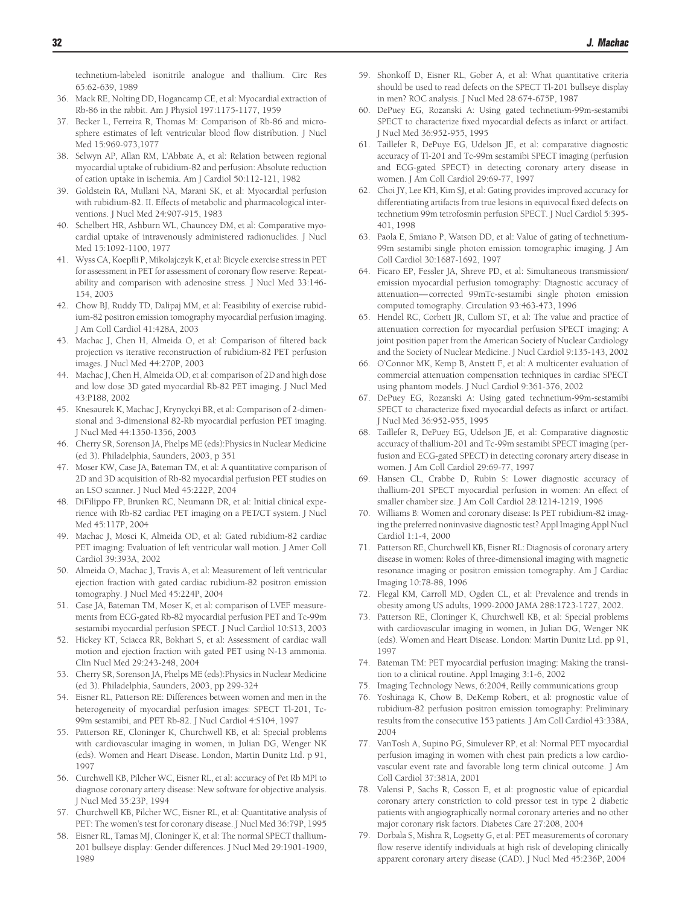<span id="page-15-0"></span>technetium-labeled isonitrile analogue and thallium. Circ Res 65:62-639, 1989

- 36. Mack RE, Nolting DD, Hogancamp CE, et al: Myocardial extraction of Rb-86 in the rabbit. Am J Physiol 197:1175-1177, 1959
- 37. Becker L, Ferreira R, Thomas M: Comparison of Rb-86 and microsphere estimates of left ventricular blood flow distribution. J Nucl Med 15:969-973,1977
- 38. Selwyn AP, Allan RM, L'Abbate A, et al: Relation between regional myocardial uptake of rubidium-82 and perfusion: Absolute reduction of cation uptake in ischemia. Am J Cardiol 50:112-121, 1982
- 39. Goldstein RA, Mullani NA, Marani SK, et al: Myocardial perfusion with rubidium-82. II. Effects of metabolic and pharmacological interventions. J Nucl Med 24:907-915, 1983
- 40. Schelbert HR, Ashburn WL, Chauncey DM, et al: Comparative myocardial uptake of intravenously administered radionuclides. J Nucl Med 15:1092-1100, 1977
- 41. Wyss CA, Koepfli P, Mikolajczyk K, et al: Bicycle exercise stress in PET for assessment in PET for assessment of coronary flow reserve: Repeatability and comparison with adenosine stress. J Nucl Med 33:146- 154, 2003
- 42. Chow BJ, Ruddy TD, Dalipaj MM, et al: Feasibility of exercise rubidium-82 positron emission tomography myocardial perfusion imaging. J Am Coll Cardiol 41:428A, 2003
- 43. Machac J, Chen H, Almeida O, et al: Comparison of filtered back projection vs iterative reconstruction of rubidium-82 PET perfusion images. J Nucl Med 44:270P, 2003
- 44. Machac J, Chen H, Almeida OD, et al: comparison of 2D and high dose and low dose 3D gated myocardial Rb-82 PET imaging. J Nucl Med 43:P188, 2002
- 45. Knesaurek K, Machac J, Krynyckyi BR, et al: Comparison of 2-dimensional and 3-dimensional 82-Rb myocardial perfusion PET imaging. J Nucl Med 44:1350-1356, 2003
- 46. Cherry SR, Sorenson JA, Phelps ME (eds):Physics in Nuclear Medicine (ed 3). Philadelphia, Saunders, 2003, p 351
- 47. Moser KW, Case JA, Bateman TM, et al: A quantitative comparison of 2D and 3D acquisition of Rb-82 myocardial perfusion PET studies on an LSO scanner. J Nucl Med 45:222P, 2004
- 48. DiFilippo FP, Brunken RC, Neumann DR, et al: Initial clinical experience with Rb-82 cardiac PET imaging on a PET/CT system. J Nucl Med 45:117P, 2004
- 49. Machac J, Mosci K, Almeida OD, et al: Gated rubidium-82 cardiac PET imaging: Evaluation of left ventricular wall motion. J Amer Coll Cardiol 39:393A, 2002
- 50. Almeida O, Machac J, Travis A, et al: Measurement of left ventricular ejection fraction with gated cardiac rubidium-82 positron emission tomography. J Nucl Med 45:224P, 2004
- 51. Case JA, Bateman TM, Moser K, et al: comparison of LVEF measurements from ECG-gated Rb-82 myocardial perfusion PET and Tc-99m sestamibi myocardial perfusion SPECT. J Nucl Cardiol 10:S13, 2003
- 52. Hickey KT, Sciacca RR, Bokhari S, et al: Assessment of cardiac wall motion and ejection fraction with gated PET using N-13 ammonia. Clin Nucl Med 29:243-248, 2004
- 53. Cherry SR, Sorenson JA, Phelps ME (eds):Physics in Nuclear Medicine (ed 3). Philadelphia, Saunders, 2003, pp 299-324
- 54. Eisner RL, Patterson RE: Differences between women and men in the heterogeneity of myocardial perfusion images: SPECT Tl-201, Tc-99m sestamibi, and PET Rb-82. J Nucl Cardiol 4:S104, 1997
- 55. Patterson RE, Cloninger K, Churchwell KB, et al: Special problems with cardiovascular imaging in women, in Julian DG, Wenger NK (eds). Women and Heart Disease. London, Martin Dunitz Ltd. p 91, 1997
- 56. Curchwell KB, Pilcher WC, Eisner RL, et al: accuracy of Pet Rb MPI to diagnose coronary artery disease: New software for objective analysis. J Nucl Med 35:23P, 1994
- 57. Churchwell KB, Pilcher WC, Eisner RL, et al: Quantitative analysis of PET: The women's test for coronary disease. J Nucl Med 36:79P, 1995
- 58. Eisner RL, Tamas MJ, Cloninger K, et al: The normal SPECT thallium-201 bullseye display: Gender differences. J Nucl Med 29:1901-1909, 1989
- 59. Shonkoff D, Eisner RL, Gober A, et al: What quantitative criteria should be used to read defects on the SPECT Tl-201 bullseye display in men? ROC analysis. J Nucl Med 28:674-675P, 1987
- 60. DePuey EG, Rozanski A: Using gated technetium-99m-sestamibi SPECT to characterize fixed myocardial defects as infarct or artifact. J Nucl Med 36:952-955, 1995
- 61. Taillefer R, DePuye EG, Udelson JE, et al: comparative diagnostic accuracy of Tl-201 and Tc-99m sestamibi SPECT imaging (perfusion and ECG-gated SPECT) in detecting coronary artery disease in women. J Am Coll Cardiol 29:69-77, 1997
- 62. Choi JY, Lee KH, Kim SJ, et al: Gating provides improved accuracy for differentiating artifacts from true lesions in equivocal fixed defects on technetium 99m tetrofosmin perfusion SPECT. J Nucl Cardiol 5:395- 401, 1998
- 63. Paola E, Smiano P, Watson DD, et al: Value of gating of technetium-99m sestamibi single photon emission tomographic imaging. J Am Coll Cardiol 30:1687-1692, 1997
- 64. Ficaro EP, Fessler JA, Shreve PD, et al: Simultaneous transmission/ emission myocardial perfusion tomography: Diagnostic accuracy of attenuation— corrected 99mTc-sestamibi single photon emission computed tomography. Circulation 93:463-473, 1996
- 65. Hendel RC, Corbett JR, Cullom ST, et al: The value and practice of attenuation correction for myocardial perfusion SPECT imaging: A joint position paper from the American Society of Nuclear Cardiology and the Society of Nuclear Medicine. J Nucl Cardiol 9:135-143, 2002
- 66. O'Connor MK, Kemp B, Anstett F, et al: A multicenter evaluation of commercial attenuation compensation techniques in cardiac SPECT using phantom models. J Nucl Cardiol 9:361-376, 2002
- 67. DePuey EG, Rozanski A: Using gated technetium-99m-sestamibi SPECT to characterize fixed myocardial defects as infarct or artifact. J Nucl Med 36:952-955, 1995
- 68. Taillefer R, DePuey EG, Udelson JE, et al: Comparative diagnostic accuracy of thallium-201 and Tc-99m sestamibi SPECT imaging (perfusion and ECG-gated SPECT) in detecting coronary artery disease in women. J Am Coll Cardiol 29:69-77, 1997
- 69. Hansen CL, Crabbe D, Rubin S: Lower diagnostic accuracy of thallium-201 SPECT myocardial perfusion in women: An effect of smaller chamber size. J Am Coll Cardiol 28:1214-1219, 1996
- 70. Williams B: Women and coronary disease: Is PET rubidium-82 imaging the preferred noninvasive diagnostic test? Appl Imaging Appl Nucl Cardiol 1:1-4, 2000
- 71. Patterson RE, Churchwell KB, Eisner RL: Diagnosis of coronary artery disease in women: Roles of three-dimensional imaging with magnetic resonance imaging or positron emission tomography. Am J Cardiac Imaging 10:78-88, 1996
- 72. Flegal KM, Carroll MD, Ogden CL, et al: Prevalence and trends in obesity among US adults, 1999-2000 JAMA 288:1723-1727, 2002.
- 73. Patterson RE, Cloninger K, Churchwell KB, et al: Special problems with cardiovascular imaging in women, in Julian DG, Wenger NK (eds). Women and Heart Disease. London: Martin Dunitz Ltd. pp 91, 1997
- 74. Bateman TM: PET myocardial perfusion imaging: Making the transition to a clinical routine. Appl Imaging 3:1-6, 2002
- 75. Imaging Technology News, 6:2004, Reilly communications group
- 76. Yoshinaga K, Chow B, DeKemp Robert, et al: prognostic value of rubidium-82 perfusion positron emission tomography: Preliminary results from the consecutive 153 patients. J Am Coll Cardiol 43:338A, 2004
- 77. VanTosh A, Supino PG, Simulever RP, et al: Normal PET myocardial perfusion imaging in women with chest pain predicts a low cardiovascular event rate and favorable long term clinical outcome. J Am Coll Cardiol 37:381A, 2001
- 78. Valensi P, Sachs R, Cosson E, et al: prognostic value of epicardial coronary artery constriction to cold pressor test in type 2 diabetic patients with angiographically normal coronary arteries and no other major coronary risk factors. Diabetes Care 27:208, 2004
- 79. Dorbala S, Mishra R, Logsetty G, et al: PET measurements of coronary flow reserve identify individuals at high risk of developing clinically apparent coronary artery disease (CAD). J Nucl Med 45:236P, 2004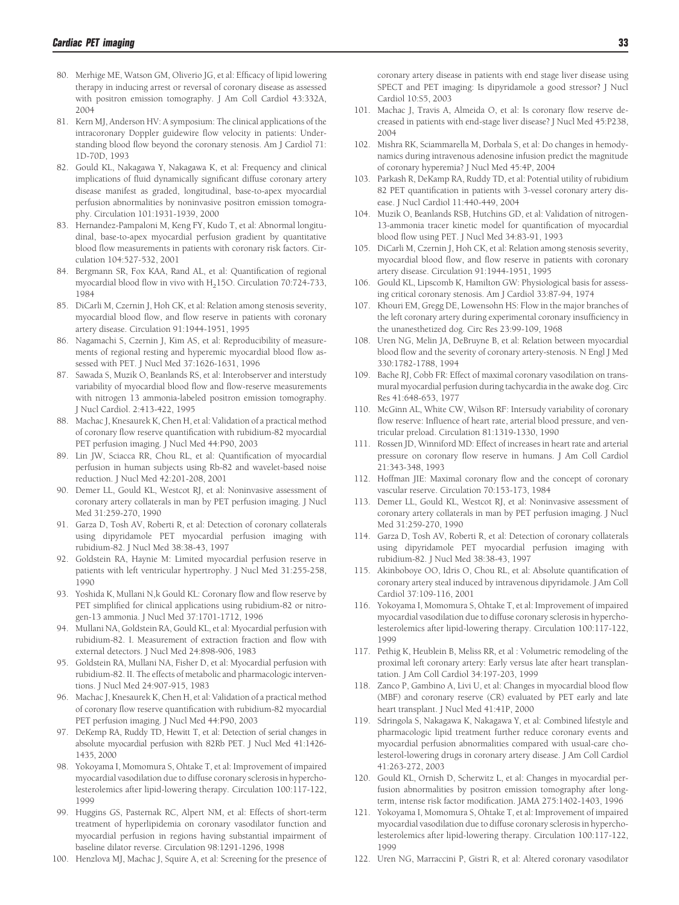- <span id="page-16-0"></span>80. Merhige ME, Watson GM, Oliverio JG, et al: Efficacy of lipid lowering therapy in inducing arrest or reversal of coronary disease as assessed with positron emission tomography. J Am Coll Cardiol 43:332A, 2004
- 81. Kern MJ, Anderson HV: A symposium: The clinical applications of the intracoronary Doppler guidewire flow velocity in patients: Understanding blood flow beyond the coronary stenosis. Am J Cardiol 71: 1D-70D, 1993
- 82. Gould KL, Nakagawa Y, Nakagawa K, et al: Frequency and clinical implications of fluid dynamically significant diffuse coronary artery disease manifest as graded, longitudinal, base-to-apex myocardial perfusion abnormalities by noninvasive positron emission tomography. Circulation 101:1931-1939, 2000
- 83. Hernandez-Pampaloni M, Keng FY, Kudo T, et al: Abnormal longitudinal, base-to-apex myocardial perfusion gradient by quantitative blood flow measurements in patients with coronary risk factors. Circulation 104:527-532, 2001
- 84. Bergmann SR, Fox KAA, Rand AL, et al: Quantification of regional myocardial blood flow in vivo with  $H<sub>2</sub>150$ . Circulation 70:724-733, 1984
- 85. DiCarli M, Czernin J, Hoh CK, et al: Relation among stenosis severity, myocardial blood flow, and flow reserve in patients with coronary artery disease. Circulation 91:1944-1951, 1995
- 86. Nagamachi S, Czernin J, Kim AS, et al: Reproducibility of measurements of regional resting and hyperemic myocardial blood flow assessed with PET. J Nucl Med 37:1626-1631, 1996
- 87. Sawada S, Muzik O, Beanlands RS, et al: Interobserver and interstudy variability of myocardial blood flow and flow-reserve measurements with nitrogen 13 ammonia-labeled positron emission tomography. J Nucl Cardiol. 2:413-422, 1995
- 88. Machac J, Knesaurek K, Chen H, et al: Validation of a practical method of coronary flow reserve quantification with rubidium-82 myocardial PET perfusion imaging. J Nucl Med 44:P90, 2003
- 89. Lin JW, Sciacca RR, Chou RL, et al: Quantification of myocardial perfusion in human subjects using Rb-82 and wavelet-based noise reduction. J Nucl Med 42:201-208, 2001
- 90. Demer LL, Gould KL, Westcot RJ, et al: Noninvasive assessment of coronary artery collaterals in man by PET perfusion imaging. J Nucl Med 31:259-270, 1990
- 91. Garza D, Tosh AV, Roberti R, et al: Detection of coronary collaterals using dipyridamole PET myocardial perfusion imaging with rubidium-82. J Nucl Med 38:38-43, 1997
- 92. Goldstein RA, Haynie M: Limited myocardial perfusion reserve in patients with left ventricular hypertrophy. J Nucl Med 31:255-258, 1990
- 93. Yoshida K, Mullani N,k Gould KL: Coronary flow and flow reserve by PET simplified for clinical applications using rubidium-82 or nitrogen-13 ammonia. J Nucl Med 37:1701-1712, 1996
- 94. Mullani NA, Goldstein RA, Gould KL, et al: Myocardial perfusion with rubidium-82. I. Measurement of extraction fraction and flow with external detectors. J Nucl Med 24:898-906, 1983
- 95. Goldstein RA, Mullani NA, Fisher D, et al: Myocardial perfusion with rubidium-82. II. The effects of metabolic and pharmacologic interventions. J Nucl Med 24:907-915, 1983
- 96. Machac J, Knesaurek K, Chen H, et al: Validation of a practical method of coronary flow reserve quantification with rubidium-82 myocardial PET perfusion imaging. J Nucl Med 44:P90, 2003
- 97. DeKemp RA, Ruddy TD, Hewitt T, et al: Detection of serial changes in absolute myocardial perfusion with 82Rb PET. J Nucl Med 41:1426- 1435, 2000
- 98. Yokoyama I, Momomura S, Ohtake T, et al: Improvement of impaired myocardial vasodilation due to diffuse coronary sclerosis in hypercholesterolemics after lipid-lowering therapy. Circulation 100:117-122, 1999
- 99. Huggins GS, Pasternak RC, Alpert NM, et al: Effects of short-term treatment of hyperlipidemia on coronary vasodilator function and myocardial perfusion in regions having substantial impairment of baseline dilator reverse. Circulation 98:1291-1296, 1998
- 100. Henzlova MJ, Machac J, Squire A, et al: Screening for the presence of

coronary artery disease in patients with end stage liver disease using SPECT and PET imaging: Is dipyridamole a good stressor? J Nucl

101. Machac J, Travis A, Almeida O, et al: Is coronary flow reserve decreased in patients with end-stage liver disease? J Nucl Med 45:P238, 2004

Cardiol 10:S5, 2003

- 102. Mishra RK, Sciammarella M, Dorbala S, et al: Do changes in hemodynamics during intravenous adenosine infusion predict the magnitude of coronary hyperemia? J Nucl Med 45:4P, 2004
- 103. Parkash R, DeKamp RA, Ruddy TD, et al: Potential utility of rubidium 82 PET quantification in patients with 3-vessel coronary artery disease. J Nucl Cardiol 11:440-449, 2004
- 104. Muzik O, Beanlands RSB, Hutchins GD, et al: Validation of nitrogen-13-ammonia tracer kinetic model for quantification of myocardial blood flow using PET. J Nucl Med 34:83-91, 1993
- 105. DiCarli M, Czernin J, Hoh CK, et al: Relation among stenosis severity, myocardial blood flow, and flow reserve in patients with coronary artery disease. Circulation 91:1944-1951, 1995
- 106. Gould KL, Lipscomb K, Hamilton GW: Physiological basis for assessing critical coronary stenosis. Am J Cardiol 33:87-94, 1974
- 107. Khouri EM, Gregg DE, Lowensohn HS: Flow in the major branches of the left coronary artery during experimental coronary insufficiency in the unanesthetized dog. Circ Res 23:99-109, 1968
- 108. Uren NG, Melin JA, DeBruyne B, et al: Relation between myocardial blood flow and the severity of coronary artery-stenosis. N Engl J Med 330:1782-1788, 1994
- 109. Bache RJ, Cobb FR: Effect of maximal coronary vasodilation on transmural myocardial perfusion during tachycardia in the awake dog. Circ Res 41:648-653, 1977
- 110. McGinn AL, White CW, Wilson RF: Intersudy variability of coronary flow reserve: Influence of heart rate, arterial blood pressure, and ventricular preload. Circulation 81:1319-1330, 1990
- 111. Rossen JD, Winniford MD: Effect of increases in heart rate and arterial pressure on coronary flow reserve in humans. J Am Coll Cardiol 21:343-348, 1993
- 112. Hoffman JIE: Maximal coronary flow and the concept of coronary vascular reserve. Circulation 70:153-173, 1984
- 113. Demer LL, Gould KL, Westcot RJ, et al: Noninvasive assessment of coronary artery collaterals in man by PET perfusion imaging. J Nucl Med 31:259-270, 1990
- 114. Garza D, Tosh AV, Roberti R, et al: Detection of coronary collaterals using dipyridamole PET myocardial perfusion imaging with rubidium-82. J Nucl Med 38:38-43, 1997
- 115. Akinboboye OO, Idris O, Chou RL, et al: Absolute quantification of coronary artery steal induced by intravenous dipyridamole. J Am Coll Cardiol 37:109-116, 2001
- 116. Yokoyama I, Momomura S, Ohtake T, et al: Improvement of impaired myocardial vasodilation due to diffuse coronary sclerosis in hypercholesterolemics after lipid-lowering therapy. Circulation 100:117-122, 1999
- 117. Pethig K, Heublein B, Meliss RR, et al : Volumetric remodeling of the proximal left coronary artery: Early versus late after heart transplantation. J Am Coll Cardiol 34:197-203, 1999
- 118. Zanco P, Gambino A, Livi U, et al: Changes in myocardial blood flow (MBF) and coronary reserve (CR) evaluated by PET early and late heart transplant. J Nucl Med 41:41P, 2000
- 119. Sdringola S, Nakagawa K, Nakagawa Y, et al: Combined lifestyle and pharmacologic lipid treatment further reduce coronary events and myocardial perfusion abnormalities compared with usual-care cholesterol-lowering drugs in coronary artery disease. J Am Coll Cardiol 41:263-272, 2003
- 120. Gould KL, Ornish D, Scherwitz L, et al: Changes in myocardial perfusion abnormalities by positron emission tomography after longterm, intense risk factor modification. JAMA 275:1402-1403, 1996
- 121. Yokoyama I, Momomura S, Ohtake T, et al: Improvement of impaired myocardial vasodilation due to diffuse coronary sclerosis in hypercholesterolemics after lipid-lowering therapy. Circulation 100:117-122, 1999
- 122. Uren NG, Marraccini P, Gistri R, et al: Altered coronary vasodilator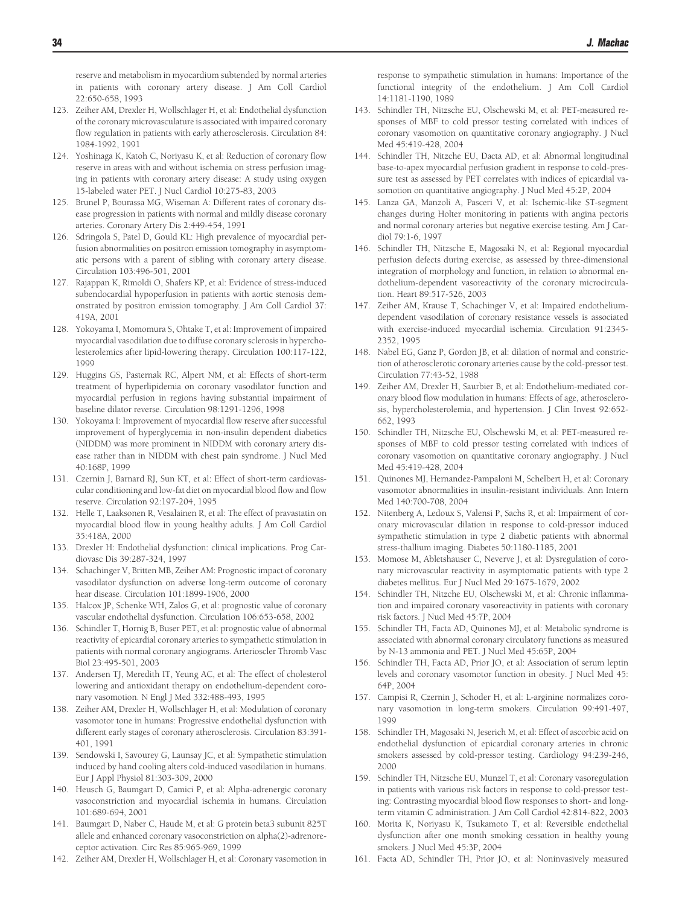<span id="page-17-0"></span>reserve and metabolism in myocardium subtended by normal arteries in patients with coronary artery disease. J Am Coll Cardiol 22:650-658, 1993

- 123. Zeiher AM, Drexler H, Wollschlager H, et al: Endothelial dysfunction of the coronary microvasculature is associated with impaired coronary flow regulation in patients with early atherosclerosis. Circulation 84: 1984-1992, 1991
- 124. Yoshinaga K, Katoh C, Noriyasu K, et al: Reduction of coronary flow reserve in areas with and without ischemia on stress perfusion imaging in patients with coronary artery disease: A study using oxygen 15-labeled water PET. J Nucl Cardiol 10:275-83, 2003
- 125. Brunel P, Bourassa MG, Wiseman A: Different rates of coronary disease progression in patients with normal and mildly disease coronary arteries. Coronary Artery Dis 2:449-454, 1991
- 126. Sdringola S, Patel D, Gould KL: High prevalence of myocardial perfusion abnormalities on positron emission tomography in asymptomatic persons with a parent of sibling with coronary artery disease. Circulation 103:496-501, 2001
- 127. Rajappan K, Rimoldi O, Shafers KP, et al: Evidence of stress-induced subendocardial hypoperfusion in patients with aortic stenosis demonstrated by positron emission tomography. J Am Coll Cardiol 37: 419A, 2001
- 128. Yokoyama I, Momomura S, Ohtake T, et al: Improvement of impaired myocardial vasodilation due to diffuse coronary sclerosis in hypercholesterolemics after lipid-lowering therapy. Circulation 100:117-122, 1999
- 129. Huggins GS, Pasternak RC, Alpert NM, et al: Effects of short-term treatment of hyperlipidemia on coronary vasodilator function and myocardial perfusion in regions having substantial impairment of baseline dilator reverse. Circulation 98:1291-1296, 1998
- 130. Yokoyama I: Improvement of myocardial flow reserve after successful improvement of hyperglycemia in non-insulin dependent diabetics (NIDDM) was more prominent in NIDDM with coronary artery disease rather than in NIDDM with chest pain syndrome. J Nucl Med 40:168P, 1999
- 131. Czernin J, Barnard RJ, Sun KT, et al: Effect of short-term cardiovascular conditioning and low-fat diet on myocardial blood flow and flow reserve. Circulation 92:197-204, 1995
- 132. Helle T, Laaksonen R, Vesalainen R, et al: The effect of pravastatin on myocardial blood flow in young healthy adults. J Am Coll Cardiol 35:418A, 2000
- 133. Drexler H: Endothelial dysfunction: clinical implications. Prog Cardiovasc Dis 39:287-324, 1997
- 134. Schachinger V, Britten MB, Zeiher AM: Prognostic impact of coronary vasodilator dysfunction on adverse long-term outcome of coronary hear disease. Circulation 101:1899-1906, 2000
- 135. Halcox JP, Schenke WH, Zalos G, et al: prognostic value of coronary vascular endothelial dysfunction. Circulation 106:653-658, 2002
- 136. Schindler T, Hornig B, Buser PET, et al: prognostic value of abnormal reactivity of epicardial coronary arteries to sympathetic stimulation in patients with normal coronary angiograms. Arterioscler Thromb Vasc Biol 23:495-501, 2003
- 137. Andersen TJ, Meredith IT, Yeung AC, et al: The effect of cholesterol lowering and antioxidant therapy on endothelium-dependent coronary vasomotion. N Engl J Med 332:488-493, 1995
- 138. Zeiher AM, Drexler H, Wollschlager H, et al: Modulation of coronary vasomotor tone in humans: Progressive endothelial dysfunction with different early stages of coronary atherosclerosis. Circulation 83:391- 401, 1991
- 139. Sendowski I, Savourey G, Launsay JC, et al: Sympathetic stimulation induced by hand cooling alters cold-induced vasodilation in humans. Eur J Appl Physiol 81:303-309, 2000
- 140. Heusch G, Baumgart D, Camici P, et al: Alpha-adrenergic coronary vasoconstriction and myocardial ischemia in humans. Circulation 101:689-694, 2001
- 141. Baumgart D, Naber C, Haude M, et al: G protein beta3 subunit 825T allele and enhanced coronary vasoconstriction on alpha(2)-adrenoreceptor activation. Circ Res 85:965-969, 1999
- 142. Zeiher AM, Drexler H, Wollschlager H, et al: Coronary vasomotion in

response to sympathetic stimulation in humans: Importance of the functional integrity of the endothelium. J Am Coll Cardiol 14:1181-1190, 1989

- 143. Schindler TH, Nitzsche EU, Olschewski M, et al: PET-measured responses of MBF to cold pressor testing correlated with indices of coronary vasomotion on quantitative coronary angiography. J Nucl Med 45:419-428, 2004
- 144. Schindler TH, Nitzche EU, Dacta AD, et al: Abnormal longitudinal base-to-apex myocardial perfusion gradient in response to cold-pressure test as assessed by PET correlates with indices of epicardial vasomotion on quantitative angiography. J Nucl Med 45:2P, 2004
- 145. Lanza GA, Manzoli A, Pasceri V, et al: Ischemic-like ST-segment changes during Holter monitoring in patients with angina pectoris and normal coronary arteries but negative exercise testing. Am J Cardiol 79:1-6, 1997
- 146. Schindler TH, Nitzsche E, Magosaki N, et al: Regional myocardial perfusion defects during exercise, as assessed by three-dimensional integration of morphology and function, in relation to abnormal endothelium-dependent vasoreactivity of the coronary microcirculation. Heart 89:517-526, 2003
- 147. Zeiher AM, Krause T, Schachinger V, et al: Impaired endotheliumdependent vasodilation of coronary resistance vessels is associated with exercise-induced myocardial ischemia. Circulation 91:2345- 2352, 1995
- 148. Nabel EG, Ganz P, Gordon JB, et al: dilation of normal and constriction of atherosclerotic coronary arteries cause by the cold-pressor test. Circulation 77:43-52, 1988
- 149. Zeiher AM, Drexler H, Saurbier B, et al: Endothelium-mediated coronary blood flow modulation in humans: Effects of age, atherosclerosis, hypercholesterolemia, and hypertension. J Clin Invest 92:652- 662, 1993
- 150. Schindler TH, Nitzsche EU, Olschewski M, et al: PET-measured responses of MBF to cold pressor testing correlated with indices of coronary vasomotion on quantitative coronary angiography. J Nucl Med 45:419-428, 2004
- 151. Quinones MJ, Hernandez-Pampaloni M, Schelbert H, et al: Coronary vasomotor abnormalities in insulin-resistant individuals. Ann Intern Med 140:700-708, 2004
- 152. Nitenberg A, Ledoux S, Valensi P, Sachs R, et al: Impairment of coronary microvascular dilation in response to cold-pressor induced sympathetic stimulation in type 2 diabetic patients with abnormal stress-thallium imaging. Diabetes 50:1180-1185, 2001
- 153. Momose M, Abletshauser C, Neverve J, et al: Dysregulation of coronary microvascular reactivity in asymptomatic patients with type 2 diabetes mellitus. Eur J Nucl Med 29:1675-1679, 2002
- 154. Schindler TH, Nitzche EU, Olschewski M, et al: Chronic inflammation and impaired coronary vasoreactivity in patients with coronary risk factors. J Nucl Med 45:7P, 2004
- 155. Schindler TH, Facta AD, Quinones MJ, et al: Metabolic syndrome is associated with abnormal coronary circulatory functions as measured by N-13 ammonia and PET. J Nucl Med 45:65P, 2004
- 156. Schindler TH, Facta AD, Prior JO, et al: Association of serum leptin levels and coronary vasomotor function in obesity. J Nucl Med 45: 64P, 2004
- 157. Campisi R, Czernin J, Schoder H, et al: L-arginine normalizes coronary vasomotion in long-term smokers. Circulation 99:491-497, 1999
- 158. Schindler TH, Magosaki N, Jeserich M, et al: Effect of ascorbic acid on endothelial dysfunction of epicardial coronary arteries in chronic smokers assessed by cold-pressor testing. Cardiology 94:239-246, 2000
- 159. Schindler TH, Nitzsche EU, Munzel T, et al: Coronary vasoregulation in patients with various risk factors in response to cold-pressor testing: Contrasting myocardial blood flow responses to short- and longterm vitamin C administration. J Am Coll Cardiol 42:814-822, 2003
- 160. Morita K, Noriyasu K, Tsukamoto T, et al: Reversible endothelial dysfunction after one month smoking cessation in healthy young smokers. J Nucl Med 45:3P, 2004
- 161. Facta AD, Schindler TH, Prior JO, et al: Noninvasively measured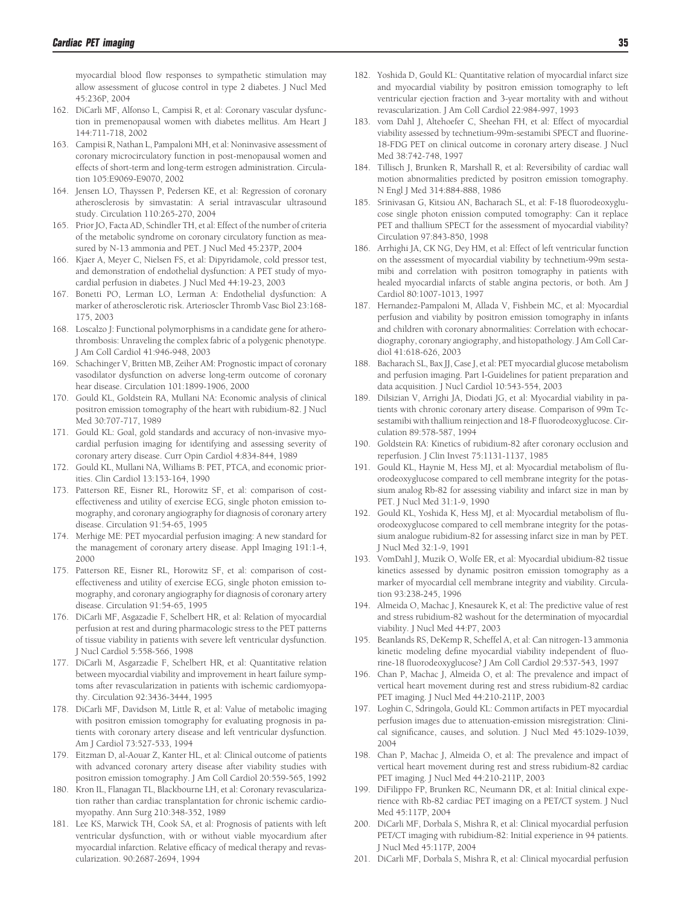<span id="page-18-0"></span>myocardial blood flow responses to sympathetic stimulation may allow assessment of glucose control in type 2 diabetes. J Nucl Med 45:236P, 2004

- 162. DiCarli MF, Alfonso L, Campisi R, et al: Coronary vascular dysfunction in premenopausal women with diabetes mellitus. Am Heart J 144:711-718, 2002
- 163. Campisi R, Nathan L, Pampaloni MH, et al: Noninvasive assessment of coronary microcirculatory function in post-menopausal women and effects of short-term and long-term estrogen administration. Circulation 105:E9069-E9070, 2002
- 164. Jensen LO, Thayssen P, Pedersen KE, et al: Regression of coronary atherosclerosis by simvastatin: A serial intravascular ultrasound study. Circulation 110:265-270, 2004
- 165. Prior JO, Facta AD, Schindler TH, et al: Effect of the number of criteria of the metabolic syndrome on coronary circulatory function as measured by N-13 ammonia and PET. J Nucl Med 45:237P, 2004
- 166. Kjaer A, Meyer C, Nielsen FS, et al: Dipyridamole, cold pressor test, and demonstration of endothelial dysfunction: A PET study of myocardial perfusion in diabetes. J Nucl Med 44:19-23, 2003
- 167. Bonetti PO, Lerman LO, Lerman A: Endothelial dysfunction: A marker of atherosclerotic risk. Arterioscler Thromb Vasc Biol 23:168- 175, 2003
- 168. Loscalzo J: Functional polymorphisms in a candidate gene for atherothrombosis: Unraveling the complex fabric of a polygenic phenotype. J Am Coll Cardiol 41:946-948, 2003
- 169. Schachinger V, Britten MB, Zeiher AM: Prognostic impact of coronary vasodilator dysfunction on adverse long-term outcome of coronary hear disease. Circulation 101:1899-1906, 2000
- 170. Gould KL, Goldstein RA, Mullani NA: Economic analysis of clinical positron emission tomography of the heart with rubidium-82. J Nucl Med 30:707-717, 1989
- 171. Gould KL: Goal, gold standards and accuracy of non-invasive myocardial perfusion imaging for identifying and assessing severity of coronary artery disease. Curr Opin Cardiol 4:834-844, 1989
- 172. Gould KL, Mullani NA, Williams B: PET, PTCA, and economic priorities. Clin Cardiol 13:153-164, 1990
- 173. Patterson RE, Eisner RL, Horowitz SF, et al: comparison of costeffectiveness and utility of exercise ECG, single photon emission tomography, and coronary angiography for diagnosis of coronary artery disease. Circulation 91:54-65, 1995
- 174. Merhige ME: PET myocardial perfusion imaging: A new standard for the management of coronary artery disease. Appl Imaging 191:1-4, 2000
- 175. Patterson RE, Eisner RL, Horowitz SF, et al: comparison of costeffectiveness and utility of exercise ECG, single photon emission tomography, and coronary angiography for diagnosis of coronary artery disease. Circulation 91:54-65, 1995
- 176. DiCarli MF, Asgazadie F, Schelbert HR, et al: Relation of myocardial perfusion at rest and during pharmacologic stress to the PET patterns of tissue viability in patients with severe left ventricular dysfunction. J Nucl Cardiol 5:558-566, 1998
- 177. DiCarli M, Asgarzadie F, Schelbert HR, et al: Quantitative relation between myocardial viability and improvement in heart failure symptoms after revascularization in patients with ischemic cardiomyopathy. Circulation 92:3436-3444, 1995
- 178. DiCarli MF, Davidson M, Little R, et al: Value of metabolic imaging with positron emission tomography for evaluating prognosis in patients with coronary artery disease and left ventricular dysfunction. Am J Cardiol 73:527-533, 1994
- 179. Eitzman D, al-Aouar Z, Kanter HL, et al: Clinical outcome of patients with advanced coronary artery disease after viability studies with positron emission tomography. J Am Coll Cardiol 20:559-565, 1992
- 180. Kron IL, Flanagan TL, Blackbourne LH, et al: Coronary revascularization rather than cardiac transplantation for chronic ischemic cardiomyopathy. Ann Surg 210:348-352, 1989
- 181. Lee KS, Marwick TH, Cook SA, et al: Prognosis of patients with left ventricular dysfunction, with or without viable myocardium after myocardial infarction. Relative efficacy of medical therapy and revascularization. 90:2687-2694, 1994
- 182. Yoshida D, Gould KL: Quantitative relation of myocardial infarct size and myocardial viability by positron emission tomography to left ventricular ejection fraction and 3-year mortality with and without revascularization. J Am Coll Cardiol 22:984-997, 1993
- 183. vom Dahl J, Altehoefer C, Sheehan FH, et al: Effect of myocardial viability assessed by technetium-99m-sestamibi SPECT and fluorine-18-FDG PET on clinical outcome in coronary artery disease. J Nucl Med 38:742-748, 1997
- 184. Tillisch J, Brunken R, Marshall R, et al: Reversibility of cardiac wall motion abnormalities predicted by positron emission tomography. N Engl J Med 314:884-888, 1986
- 185. Srinivasan G, Kitsiou AN, Bacharach SL, et al: F-18 fluorodeoxyglucose single photon enission computed tomography: Can it replace PET and thallium SPECT for the assessment of myocardial viability? Circulation 97:843-850, 1998
- 186. Arrhighi JA, CK NG, Dey HM, et al: Effect of left ventricular function on the assessment of myocardial viability by technetium-99m sestamibi and correlation with positron tomography in patients with healed myocardial infarcts of stable angina pectoris, or both. Am J Cardiol 80:1007-1013, 1997
- 187. Hernandez-Pampaloni M, Allada V, Fishbein MC, et al: Myocardial perfusion and viability by positron emission tomography in infants and children with coronary abnormalities: Correlation with echocardiography, coronary angiography, and histopathology. J Am Coll Cardiol 41:618-626, 2003
- 188. Bacharach SL, Bax JJ, Case J, et al: PET myocardial glucose metabolism and perfusion imaging. Part I-Guidelines for patient preparation and data acquisition. J Nucl Cardiol 10:543-554, 2003
- 189. Dilsizian V, Arrighi JA, Diodati JG, et al: Myocardial viability in patients with chronic coronary artery disease. Comparison of 99m Tcsestamibi with thallium reinjection and 18-F fluorodeoxyglucose. Circulation 89:578-587, 1994
- 190. Goldstein RA: Kinetics of rubidium-82 after coronary occlusion and reperfusion. J Clin Invest 75:1131-1137, 1985
- 191. Gould KL, Haynie M, Hess MJ, et al: Myocardial metabolism of fluorodeoxyglucose compared to cell membrane integrity for the potassium analog Rb-82 for assessing viability and infarct size in man by PET. J Nucl Med 31:1-9, 1990
- 192. Gould KL, Yoshida K, Hess MJ, et al: Myocardial metabolism of fluorodeoxyglucose compared to cell membrane integrity for the potassium analogue rubidium-82 for assessing infarct size in man by PET. J Nucl Med 32:1-9, 1991
- 193. VomDahl J, Muzik O, Wolfe ER, et al: Myocardial ubidium-82 tissue kinetics assessed by dynamic positron emission tomography as a marker of myocardial cell membrane integrity and viability. Circulation 93:238-245, 1996
- 194. Almeida O, Machac J, Knesaurek K, et al: The predictive value of rest and stress rubidium-82 washout for the determination of myocardial viability. J Nucl Med 44:P7, 2003
- 195. Beanlands RS, DeKemp R, Scheffel A, et al: Can nitrogen-13 ammonia kinetic modeling define myocardial viability independent of fluorine-18 fluorodeoxyglucose? J Am Coll Cardiol 29:537-543, 1997
- 196. Chan P, Machac J, Almeida O, et al: The prevalence and impact of vertical heart movement during rest and stress rubidium-82 cardiac PET imaging. J Nucl Med 44:210-211P, 2003
- 197. Loghin C, Sdringola, Gould KL: Common artifacts in PET myocardial perfusion images due to attenuation-emission misregistration: Clinical significance, causes, and solution. J Nucl Med 45:1029-1039, 2004
- 198. Chan P, Machac J, Almeida O, et al: The prevalence and impact of vertical heart movement during rest and stress rubidium-82 cardiac PET imaging. J Nucl Med 44:210-211P, 2003
- 199. DiFilippo FP, Brunken RC, Neumann DR, et al: Initial clinical experience with Rb-82 cardiac PET imaging on a PET/CT system. J Nucl Med 45:117P, 2004
- 200. DiCarli MF, Dorbala S, Mishra R, et al: Clinical myocardial perfusion PET/CT imaging with rubidium-82: Initial experience in 94 patients. J Nucl Med 45:117P, 2004
- 201. DiCarli MF, Dorbala S, Mishra R, et al: Clinical myocardial perfusion